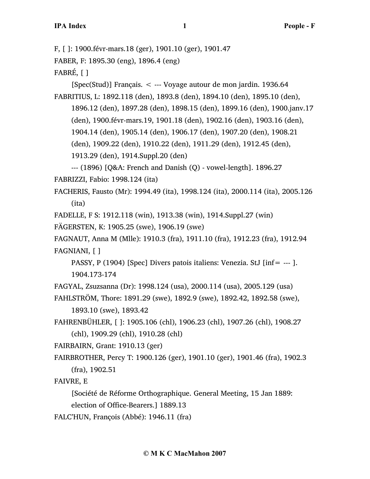F, [ ]: 1900.févr-mars.18 (ger), 1901.10 (ger), 1901.47 FABER, F: 1895.30 (eng), 1896.4 (eng) FABRÉ, [ ] [Spec(Stud)] Français. < --- Voyage autour de mon jardin. 1936.64 FABRITIUS, L: 1892.118 (den), 1893.8 (den), 1894.10 (den), 1895.10 (den), 1896.12 (den), 1897.28 (den), 1898.15 (den), 1899.16 (den), 1900.janv.17 (den), 1900.févr-mars.19, 1901.18 (den), 1902.16 (den), 1903.16 (den), 1904.14 (den), 1905.14 (den), 1906.17 (den), 1907.20 (den), 1908.21 (den), 1909.22 (den), 1910.22 (den), 1911.29 (den), 1912.45 (den), 1913.29 (den), 1914.Suppl.20 (den) --- (1896) [Q&A: French and Danish (Q) - vowel-length]. 1896.27 FABRIZZI, Fabio: 1998.124 (ita) FACHERIS, Fausto (Mr): 1994.49 (ita), 1998.124 (ita), 2000.114 (ita), 2005.126 (ita) FADELLE, F S: 1912.118 (win), 1913.38 (win), 1914.Suppl.27 (win) FÄGERSTEN, K: 1905.25 (swe), 1906.19 (swe) FAGNAUT, Anna M (Mlle): 1910.3 (fra), 1911.10 (fra), 1912.23 (fra), 1912.94 FAGNIANI, [ ] PASSY, P (1904) [Spec] Divers patois italiens: Venezia. StJ [inf= --- ]. 1904.173-174 FAGYAL, Zsuzsanna (Dr): 1998.124 (usa), 2000.114 (usa), 2005.129 (usa) FAHLSTRÖM, Thore: 1891.29 (swe), 1892.9 (swe), 1892.42, 1892.58 (swe), 1893.10 (swe), 1893.42 FAHRENBÜHLER, [ ]: 1905.106 (chl), 1906.23 (chl), 1907.26 (chl), 1908.27 (chl), 1909.29 (chl), 1910.28 (chl) FAIRBAIRN, Grant: 1910.13 (ger) FAIRBROTHER, Percy T: 1900.126 (ger), 1901.10 (ger), 1901.46 (fra), 1902.3 (fra), 1902.51 FAIVRE, E [Société de Réforme Orthographique. General Meeting, 15 Jan 1889: election of Office-Bearers.] 1889.13

FALC'HUN, François (Abbé): 1946.11 (fra)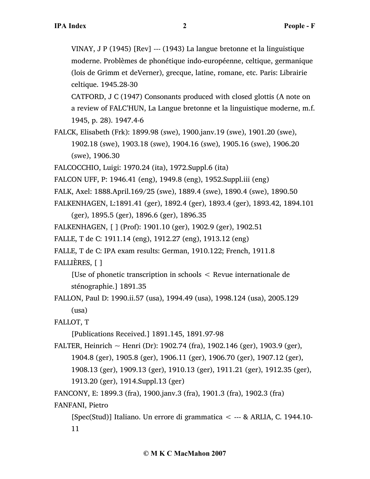VINAY, J P (1945) [Rev] --- (1943) La langue bretonne et la linguistique moderne. Problèmes de phonétique indo-européenne, celtique, germanique (lois de Grimm et deVerner), grecque, latine, romane, etc. Paris: Librairie celtique. 1945.28-30

CATFORD, J C (1947) Consonants produced with closed glottis (A note on a review of FALC'HUN, La Langue bretonne et la linguistique moderne, m.f. 1945, p. 28). 1947.4-6

FALCK, Elisabeth (Frk): 1899.98 (swe), 1900.janv.19 (swe), 1901.20 (swe), 1902.18 (swe), 1903.18 (swe), 1904.16 (swe), 1905.16 (swe), 1906.20 (swe), 1906.30

FALCOCCHIO, Luigi: 1970.24 (ita), 1972.Suppl.6 (ita)

FALCON UFF, P: 1946.41 (eng), 1949.8 (eng), 1952.Suppl.iii (eng)

FALK, Axel: 1888.April.169/25 (swe), 1889.4 (swe), 1890.4 (swe), 1890.50

FALKENHAGEN, L:1891.41 (ger), 1892.4 (ger), 1893.4 (ger), 1893.42, 1894.101

(ger), 1895.5 (ger), 1896.6 (ger), 1896.35

FALKENHAGEN, [ ] (Prof): 1901.10 (ger), 1902.9 (ger), 1902.51

FALLE, T de C: 1911.14 (eng), 1912.27 (eng), 1913.12 (eng)

FALLE, T de C: IPA exam results: German, 1910.122; French, 1911.8

FALLIÈRES, [ ]

[Use of phonetic transcription in schools < Revue internationale de sténographie.] 1891.35

FALLON, Paul D: 1990.ii.57 (usa), 1994.49 (usa), 1998.124 (usa), 2005.129 (usa)

FALLOT, T

[Publications Received.] 1891.145, 1891.97-98

FALTER, Heinrich ~ Henri (Dr): 1902.74 (fra), 1902.146 (ger), 1903.9 (ger), 1904.8 (ger), 1905.8 (ger), 1906.11 (ger), 1906.70 (ger), 1907.12 (ger), 1908.13 (ger), 1909.13 (ger), 1910.13 (ger), 1911.21 (ger), 1912.35 (ger), 1913.20 (ger), 1914.Suppl.13 (ger)

FANCONY, E: 1899.3 (fra), 1900.janv.3 (fra), 1901.3 (fra), 1902.3 (fra)

FANFANI, Pietro

[Spec(Stud)] Italiano. Un errore di grammatica < --- & ARLIA, C. 1944.10- 11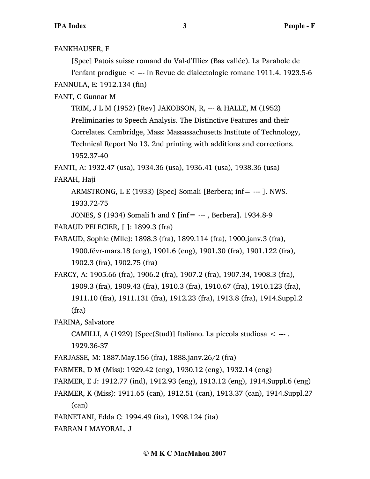FANKHAUSER, F

[Spec] Patois suisse romand du Val-d'Illiez (Bas vallée). La Parabole de l'enfant prodigue < --- in Revue de dialectologie romane 1911.4. 1923.5-6 FANNULA, E: 1912.134 (fin)

FANT, C Gunnar M

TRIM, J L M (1952) [Rev] JAKOBSON, R, --- & HALLE, M (1952)

Preliminaries to Speech Analysis. The Distinctive Features and their

Correlates. Cambridge, Mass: Massassachusetts Institute of Technology,

Technical Report No 13. 2nd printing with additions and corrections. 1952.37-40

FANTI, A: 1932.47 (usa), 1934.36 (usa), 1936.41 (usa), 1938.36 (usa) FARAH, Haji

ARMSTRONG, L E (1933) [Spec] Somali [Berbera; inf= --- ]. NWS. 1933.72-75

JONES, S (1934) Somali  $\hbar$  and  $\int$  [inf= ---, Berbera]. 1934.8-9 FARAUD PELECIER, [ ]: 1899.3 (fra)

FARAUD, Sophie (Mlle): 1898.3 (fra), 1899.114 (fra), 1900.janv.3 (fra), 1900.févr-mars.18 (eng), 1901.6 (eng), 1901.30 (fra), 1901.122 (fra), 1902.3 (fra), 1902.75 (fra)

FARCY, A: 1905.66 (fra), 1906.2 (fra), 1907.2 (fra), 1907.34, 1908.3 (fra), 1909.3 (fra), 1909.43 (fra), 1910.3 (fra), 1910.67 (fra), 1910.123 (fra), 1911.10 (fra), 1911.131 (fra), 1912.23 (fra), 1913.8 (fra), 1914.Suppl.2 (fra)

FARINA, Salvatore

CAMILLI, A (1929) [Spec(Stud)] Italiano. La piccola studiosa < --- . 1929.36-37

FARJASSE, M: 1887.May.156 (fra), 1888.janv.26/2 (fra)

FARMER, D M (Miss): 1929.42 (eng), 1930.12 (eng), 1932.14 (eng)

FARMER, E J: 1912.77 (ind), 1912.93 (eng), 1913.12 (eng), 1914.Suppl.6 (eng)

FARMER, K (Miss): 1911.65 (can), 1912.51 (can), 1913.37 (can), 1914.Suppl.27 (can)

FARNETANI, Edda C: 1994.49 (ita), 1998.124 (ita)

FARRAN I MAYORAL, J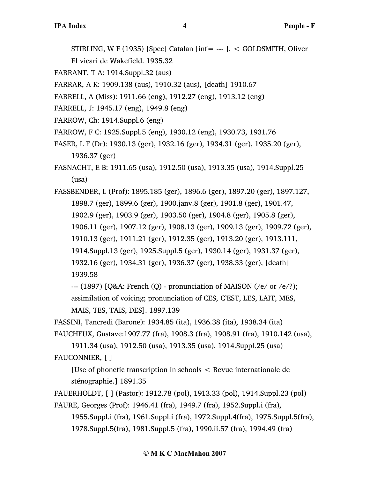STIRLING, W F (1935) [Spec] Catalan [inf= --- ].  $\lt$  GOLDSMITH, Oliver

El vicari de Wakefield. 1935.32

FARRANT, T A: 1914.Suppl.32 (aus)

FARRAR, A K: 1909.138 (aus), 1910.32 (aus), [death] 1910.67

FARRELL, A (Miss): 1911.66 (eng), 1912.27 (eng), 1913.12 (eng)

FARRELL, J: 1945.17 (eng), 1949.8 (eng)

FARROW, Ch: 1914.Suppl.6 (eng)

FARROW, F C: 1925.Suppl.5 (eng), 1930.12 (eng), 1930.73, 1931.76

FASER, L F (Dr): 1930.13 (ger), 1932.16 (ger), 1934.31 (ger), 1935.20 (ger), 1936.37 (ger)

FASNACHT, E B: 1911.65 (usa), 1912.50 (usa), 1913.35 (usa), 1914.Suppl.25 (usa)

FASSBENDER, L (Prof): 1895.185 (ger), 1896.6 (ger), 1897.20 (ger), 1897.127, 1898.7 (ger), 1899.6 (ger), 1900.janv.8 (ger), 1901.8 (ger), 1901.47, 1902.9 (ger), 1903.9 (ger), 1903.50 (ger), 1904.8 (ger), 1905.8 (ger), 1906.11 (ger), 1907.12 (ger), 1908.13 (ger), 1909.13 (ger), 1909.72 (ger), 1910.13 (ger), 1911.21 (ger), 1912.35 (ger), 1913.20 (ger), 1913.111, 1914.Suppl.13 (ger), 1925.Suppl.5 (ger), 1930.14 (ger), 1931.37 (ger), 1932.16 (ger), 1934.31 (ger), 1936.37 (ger), 1938.33 (ger), [death] 1939.58

--- (1897) [Q&A: French (Q) - pronunciation of MAISON (/e/ or /e/?); assimilation of voicing; pronunciation of CES, C'EST, LES, LAIT, MES, MAIS, TES, TAIS, DES]. 1897.139

FASSINI, Tancredi (Barone): 1934.85 (ita), 1936.38 (ita), 1938.34 (ita)

FAUCHEUX, Gustave:1907.77 (fra), 1908.3 (fra), 1908.91 (fra), 1910.142 (usa),

1911.34 (usa), 1912.50 (usa), 1913.35 (usa), 1914.Suppl.25 (usa) FAUCONNIER, [ ]

[Use of phonetic transcription in schools < Revue internationale de sténographie.] 1891.35

```
FAUERHOLDT, [ ] (Pastor): 1912.78 (pol), 1913.33 (pol), 1914.Suppl.23 (pol)
```

```
FAURE, Georges (Prof): 1946.41 (fra), 1949.7 (fra), 1952.Suppl.i (fra), 
     1955.Suppl.i (fra), 1961.Suppl.i (fra), 1972.Suppl.4(fra), 1975.Suppl.5(fra),
```
1978.Suppl.5(fra), 1981.Suppl.5 (fra), 1990.ii.57 (fra), 1994.49 (fra)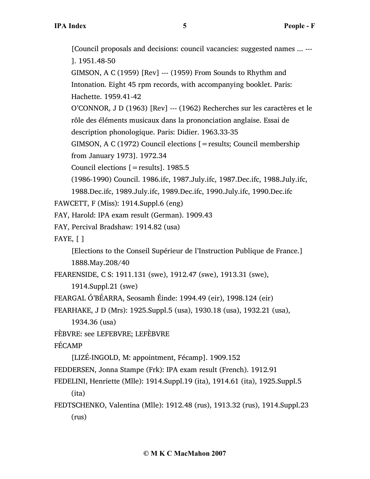[Council proposals and decisions: council vacancies: suggested names ... --- ]. 1951.48-50 GIMSON, A C (1959) [Rev] --- (1959) From Sounds to Rhythm and Intonation. Eight 45 rpm records, with accompanying booklet. Paris: Hachette. 1959.41-42 O'CONNOR, J D (1963) [Rev] --- (1962) Recherches sur les caractères et le rôle des éléments musicaux dans la prononciation anglaise. Essai de description phonologique. Paris: Didier. 1963.33-35 GIMSON, A C (1972) Council elections [=results; Council membership from January 1973]. 1972.34 Council elections  $[=$  results]. 1985.5 (1986-1990) Council. 1986.ifc, 1987.July.ifc, 1987.Dec.ifc, 1988.July.ifc, 1988.Dec.ifc, 1989.July.ifc, 1989.Dec.ifc, 1990.July.ifc, 1990.Dec.ifc FAWCETT, F (Miss): 1914.Suppl.6 (eng) FAY, Harold: IPA exam result (German). 1909.43 FAY, Percival Bradshaw: 1914.82 (usa) FAYE,  $\lceil \cdot \rceil$ [Elections to the Conseil Supérieur de l'Instruction Publique de France.] 1888.May.208/40 FEARENSIDE, C S: 1911.131 (swe), 1912.47 (swe), 1913.31 (swe), 1914.Suppl.21 (swe) FEARGAL Ó'BÉARRA, Seosamh Éinde: 1994.49 (eir), 1998.124 (eir) FEARHAKE, J D (Mrs): 1925.Suppl.5 (usa), 1930.18 (usa), 1932.21 (usa), 1934.36 (usa) FÈBVRE: see LEFEBVRE; LEFÈBVRE FÉCAMP [LIZÉ-INGOLD, M: appointment, Fécamp]. 1909.152 FEDDERSEN, Jonna Stampe (Frk): IPA exam result (French). 1912.91 FEDELINI, Henriette (Mlle): 1914.Suppl.19 (ita), 1914.61 (ita), 1925.Suppl.5 (ita) FEDTSCHENKO, Valentina (Mlle): 1912.48 (rus), 1913.32 (rus), 1914.Suppl.23

(rus)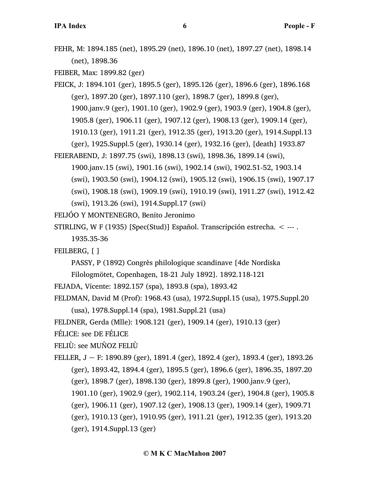FEHR, M: 1894.185 (net), 1895.29 (net), 1896.10 (net), 1897.27 (net), 1898.14 (net), 1898.36

FEIBER, Max: 1899.82 (ger)

- FEICK, J: 1894.101 (ger), 1895.5 (ger), 1895.126 (ger), 1896.6 (ger), 1896.168 (ger), 1897.20 (ger), 1897.110 (ger), 1898.7 (ger), 1899.8 (ger), 1900.janv.9 (ger), 1901.10 (ger), 1902.9 (ger), 1903.9 (ger), 1904.8 (ger), 1905.8 (ger), 1906.11 (ger), 1907.12 (ger), 1908.13 (ger), 1909.14 (ger), 1910.13 (ger), 1911.21 (ger), 1912.35 (ger), 1913.20 (ger), 1914.Suppl.13 (ger), 1925.Suppl.5 (ger), 1930.14 (ger), 1932.16 (ger), [death] 1933.87
- FEIERABEND, J: 1897.75 (swi), 1898.13 (swi), 1898.36, 1899.14 (swi), 1900.janv.15 (swi), 1901.16 (swi), 1902.14 (swi), 1902.51-52, 1903.14 (swi), 1903.50 (swi), 1904.12 (swi), 1905.12 (swi), 1906.15 (swi), 1907.17 (swi), 1908.18 (swi), 1909.19 (swi), 1910.19 (swi), 1911.27 (swi), 1912.42 (swi), 1913.26 (swi), 1914.Suppl.17 (swi)

FEIJÓO Y MONTENEGRO, Benito Jeronimo

STIRLING, W F (1935) [Spec(Stud)] Español. Transcripción estrecha. < --- . 1935.35-36

FEILBERG, [ ]

PASSY, P (1892) Congrès philologique scandinave [4de Nordiska

Filologmötet, Copenhagen, 18-21 July 1892]. 1892.118-121

FEJADA, Vicente: 1892.157 (spa), 1893.8 (spa), 1893.42

FELDMAN, David M (Prof): 1968.43 (usa), 1972.Suppl.15 (usa), 1975.Suppl.20

(usa), 1978.Suppl.14 (spa), 1981.Suppl.21 (usa)

FELDNER, Gerda (Mlle): 1908.121 (ger), 1909.14 (ger), 1910.13 (ger)

FÉLICE: see DE FÉLICE

FELIÙ: see MUÑOZ FELIÙ

FELLER,  $J \sim F: 1890.89$  (ger), 1891.4 (ger), 1892.4 (ger), 1893.4 (ger), 1893.26 (ger), 1893.42, 1894.4 (ger), 1895.5 (ger), 1896.6 (ger), 1896.35, 1897.20 (ger), 1898.7 (ger), 1898.130 (ger), 1899.8 (ger), 1900.janv.9 (ger), 1901.10 (ger), 1902.9 (ger), 1902.114, 1903.24 (ger), 1904.8 (ger), 1905.8 (ger), 1906.11 (ger), 1907.12 (ger), 1908.13 (ger), 1909.14 (ger), 1909.71 (ger), 1910.13 (ger), 1910.95 (ger), 1911.21 (ger), 1912.35 (ger), 1913.20 (ger), 1914.Suppl.13 (ger)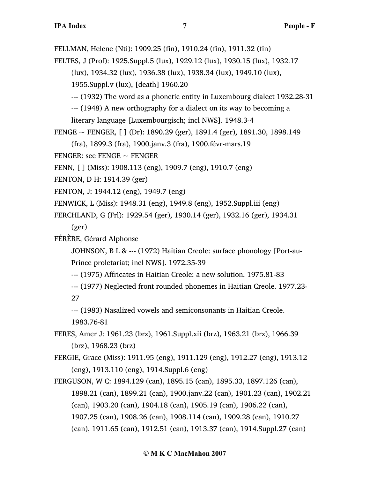FELLMAN, Helene (Nti): 1909.25 (fin), 1910.24 (fin), 1911.32 (fin)

- FELTES, J (Prof): 1925.Suppl.5 (lux), 1929.12 (lux), 1930.15 (lux), 1932.17
	- (lux), 1934.32 (lux), 1936.38 (lux), 1938.34 (lux), 1949.10 (lux),

1955.Suppl.v (lux), [death] 1960.20

--- (1932) The word as a phonetic entity in Luxembourg dialect 1932.28-31

--- (1948) A new orthography for a dialect on its way to becoming a literary language [Luxembourgisch; incl NWS]. 1948.3-4

FENGE  $\sim$  FENGER, [ ] (Dr): 1890.29 (ger), 1891.4 (ger), 1891.30, 1898.149

(fra), 1899.3 (fra), 1900.janv.3 (fra), 1900.févr-mars.19

FENGER: see FENGE  $\sim$  FENGER

FENN, [ ] (Miss): 1908.113 (eng), 1909.7 (eng), 1910.7 (eng)

FENTON, D H: 1914.39 (ger)

FENTON, J: 1944.12 (eng), 1949.7 (eng)

FENWICK, L (Miss): 1948.31 (eng), 1949.8 (eng), 1952.Suppl.iii (eng)

FERCHLAND, G (Frl): 1929.54 (ger), 1930.14 (ger), 1932.16 (ger), 1934.31

(ger)

FÉRÈRE, Gérard Alphonse

JOHNSON, B L & --- (1972) Haitian Creole: surface phonology [Port-au-Prince proletariat; incl NWS]. 1972.35-39

--- (1975) Affricates in Haitian Creole: a new solution. 1975.81-83

--- (1977) Neglected front rounded phonemes in Haitian Creole. 1977.23- 27

--- (1983) Nasalized vowels and semiconsonants in Haitian Creole. 1983.76-81

FERES, Amer J: 1961.23 (brz), 1961.Suppl.xii (brz), 1963.21 (brz), 1966.39 (brz), 1968.23 (brz)

FERGIE, Grace (Miss): 1911.95 (eng), 1911.129 (eng), 1912.27 (eng), 1913.12 (eng), 1913.110 (eng), 1914.Suppl.6 (eng)

FERGUSON, W C: 1894.129 (can), 1895.15 (can), 1895.33, 1897.126 (can), 1898.21 (can), 1899.21 (can), 1900.janv.22 (can), 1901.23 (can), 1902.21 (can), 1903.20 (can), 1904.18 (can), 1905.19 (can), 1906.22 (can), 1907.25 (can), 1908.26 (can), 1908.114 (can), 1909.28 (can), 1910.27 (can), 1911.65 (can), 1912.51 (can), 1913.37 (can), 1914.Suppl.27 (can)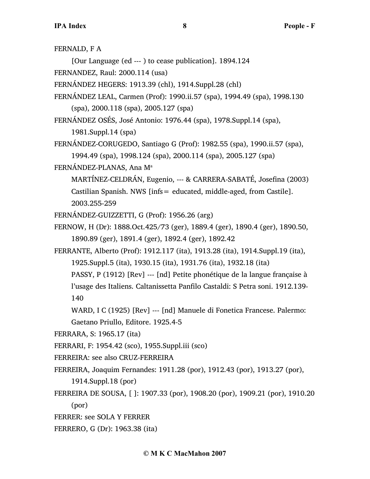FERNALD, F A

[Our Language (ed --- ) to cease publication]. 1894.124

FERNANDEZ, Raul: 2000.114 (usa)

- FERNÁNDEZ HEGERS: 1913.39 (chl), 1914.Suppl.28 (chl)
- FERNÁNDEZ LEAL, Carmen (Prof): 1990.ii.57 (spa), 1994.49 (spa), 1998.130 (spa), 2000.118 (spa), 2005.127 (spa)
- FERNÁNDEZ OSÉS, José Antonio: 1976.44 (spa), 1978.Suppl.14 (spa),

1981.Suppl.14 (spa)

FERNÁNDEZ-CORUGEDO, Santiago G (Prof): 1982.55 (spa), 1990.ii.57 (spa), 1994.49 (spa), 1998.124 (spa), 2000.114 (spa), 2005.127 (spa)

FERNÁNDEZ-PLANAS, Ana M<sup>a</sup>

MARTÍNEZ-CELDRÁN, Eugenio, --- & CARRERA-SABATÉ, Josefina (2003) Castilian Spanish. NWS [infs= educated, middle-aged, from Castile]. 2003.255-259

FERNÁNDEZ-GUIZZETTI, G (Prof): 1956.26 (arg)

FERNOW, H (Dr): 1888.Oct.425/73 (ger), 1889.4 (ger), 1890.4 (ger), 1890.50, 1890.89 (ger), 1891.4 (ger), 1892.4 (ger), 1892.42

FERRANTE, Alberto (Prof): 1912.117 (ita), 1913.28 (ita), 1914.Suppl.19 (ita), 1925.Suppl.5 (ita), 1930.15 (ita), 1931.76 (ita), 1932.18 (ita)

PASSY, P (1912) [Rev] --- [nd] Petite phonétique de la langue française à l'usage des Italiens. Caltanissetta Panfilo Castaldi: S Petra soni. 1912.139- 140

WARD, I C (1925) [Rev] --- [nd] Manuele di Fonetica Francese. Palermo: Gaetano Priullo, Editore. 1925.4-5

- FERRARA, S: 1965.17 (ita)
- FERRARI, F: 1954.42 (sco), 1955.Suppl.iii (sco)
- FERREIRA: see also CRUZ-FERREIRA
- FERREIRA, Joaquim Fernandes: 1911.28 (por), 1912.43 (por), 1913.27 (por), 1914.Suppl.18 (por)
- FERREIRA DE SOUSA, [ ]: 1907.33 (por), 1908.20 (por), 1909.21 (por), 1910.20 (por)
- FERRER: see SOLA Y FERRER
- FERRERO, G (Dr): 1963.38 (ita)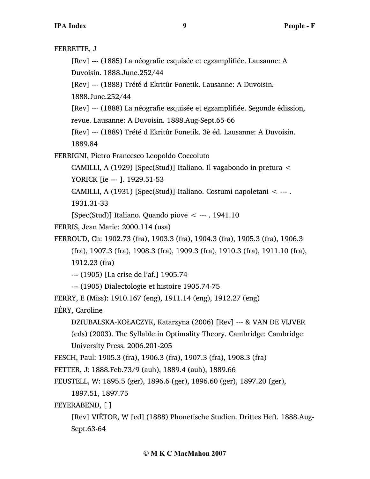```
FERRETTE, J
     [Rev] --- (1885) La néografie esquisée et egzamplifiée. Lausanne: A
     Duvoisin. 1888.June.252/44
     [Rev] --- (1888) Trété d Ekritûr Fonetik. Lausanne: A Duvoisin. 
     1888.June.252/44
     [Rev] --- (1888) La néografie esquisée et egzamplifiée. Segonde édission, 
     revue. Lausanne: A Duvoisin. 1888.Aug-Sept.65-66
     [Rev] --- (1889) Trété d Ekritûr Fonetik. 3è éd. Lausanne: A Duvoisin. 
     1889.84
FERRIGNI, Pietro Francesco Leopoldo Coccoluto
     CAMILLI, A (1929) [Spec(Stud)] Italiano. Il vagabondo in pretura < 
     YORICK [ie --- ]. 1929.51-53
     CAMILLI, A (1931) [Spec(Stud)] Italiano. Costumi napoletani < --- . 
     1931.31-33
     [Spec(Stud)] Italiano. Quando piove \leq --- . 1941.10
FERRIS, Jean Marie: 2000.114 (usa)
FERROUD, Ch: 1902.73 (fra), 1903.3 (fra), 1904.3 (fra), 1905.3 (fra), 1906.3
     (fra), 1907.3 (fra), 1908.3 (fra), 1909.3 (fra), 1910.3 (fra), 1911.10 (fra), 
     1912.23 (fra)
     --- (1905) [La crise de l'af.] 1905.74
     --- (1905) Dialectologie et histoire 1905.74-75
FERRY, E (Miss): 1910.167 (eng), 1911.14 (eng), 1912.27 (eng)
FÉRY, Caroline
     DZIUBALSKA-KOŁACZYK, Katarzyna (2006) [Rev] --- & VAN DE VIJVER
     (eds) (2003). The Syllable in Optimality Theory. Cambridge: Cambridge
     University Press. 2006.201-205
FESCH, Paul: 1905.3 (fra), 1906.3 (fra), 1907.3 (fra), 1908.3 (fra)
FETTER, J: 1888.Feb.73/9 (auh), 1889.4 (auh), 1889.66
FEUSTELL, W: 1895.5 (ger), 1896.6 (ger), 1896.60 (ger), 1897.20 (ger), 
     1897.51, 1897.75
FEYERABEND, [ ]
```
[Rev] VIËTOR, W [ed] (1888) Phonetische Studien. Drittes Heft. 1888.Aug-Sept.63-64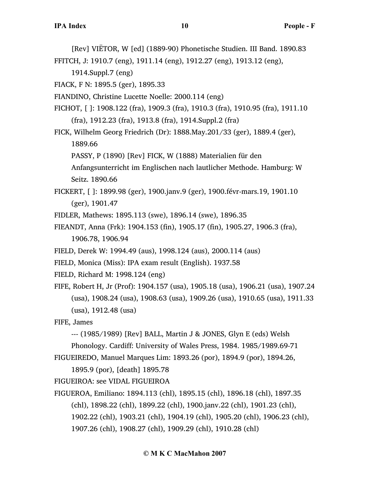[Rev] VIËTOR, W [ed] (1889-90) Phonetische Studien. III Band. 1890.83

FFITCH, J: 1910.7 (eng), 1911.14 (eng), 1912.27 (eng), 1913.12 (eng),

1914.Suppl.7 (eng)

FIACK, F N: 1895.5 (ger), 1895.33

FIANDINO, Christine Lucette Noelle: 2000.114 (eng)

- FICHOT, [ ]: 1908.122 (fra), 1909.3 (fra), 1910.3 (fra), 1910.95 (fra), 1911.10 (fra), 1912.23 (fra), 1913.8 (fra), 1914.Suppl.2 (fra)
- FICK, Wilhelm Georg Friedrich (Dr): 1888.May.201/33 (ger), 1889.4 (ger), 1889.66

PASSY, P (1890) [Rev] FICK, W (1888) Materialien für den

Anfangsunterricht im Englischen nach lautlicher Methode. Hamburg: W Seitz. 1890.66

- FICKERT, [ ]: 1899.98 (ger), 1900.janv.9 (ger), 1900.févr-mars.19, 1901.10 (ger), 1901.47
- FIDLER, Mathews: 1895.113 (swe), 1896.14 (swe), 1896.35
- FIEANDT, Anna (Frk): 1904.153 (fin), 1905.17 (fin), 1905.27, 1906.3 (fra), 1906.78, 1906.94
- FIELD, Derek W: 1994.49 (aus), 1998.124 (aus), 2000.114 (aus)
- FIELD, Monica (Miss): IPA exam result (English). 1937.58
- FIELD, Richard M: 1998.124 (eng)

FIFE, Robert H, Jr (Prof): 1904.157 (usa), 1905.18 (usa), 1906.21 (usa), 1907.24 (usa), 1908.24 (usa), 1908.63 (usa), 1909.26 (usa), 1910.65 (usa), 1911.33 (usa), 1912.48 (usa)

FIFE, James

--- (1985/1989) [Rev] BALL, Martin J & JONES, Glyn E (eds) Welsh

Phonology. Cardiff: University of Wales Press, 1984. 1985/1989.69-71

FIGUEIREDO, Manuel Marques Lim: 1893.26 (por), 1894.9 (por), 1894.26,

1895.9 (por), [death] 1895.78

FIGUEIROA: see VIDAL FIGUEIROA

FIGUEROA, Emiliano: 1894.113 (chl), 1895.15 (chl), 1896.18 (chl), 1897.35 (chl), 1898.22 (chl), 1899.22 (chl), 1900.janv.22 (chl), 1901.23 (chl), 1902.22 (chl), 1903.21 (chl), 1904.19 (chl), 1905.20 (chl), 1906.23 (chl), 1907.26 (chl), 1908.27 (chl), 1909.29 (chl), 1910.28 (chl)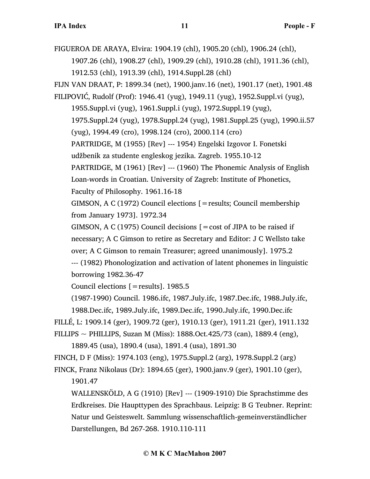FIGUEROA DE ARAYA, Elvira: 1904.19 (chl), 1905.20 (chl), 1906.24 (chl),

1907.26 (chl), 1908.27 (chl), 1909.29 (chl), 1910.28 (chl), 1911.36 (chl), 1912.53 (chl), 1913.39 (chl), 1914.Suppl.28 (chl)

FIJN VAN DRAAT, P: 1899.34 (net), 1900.janv.16 (net), 1901.17 (net), 1901.48 FILIPOVIĆ, Rudolf (Prof): 1946.41 (yug), 1949.11 (yug), 1952.Suppl.vi (yug),

1955.Suppl.vi (yug), 1961.Suppl.i (yug), 1972.Suppl.19 (yug), 1975.Suppl.24 (yug), 1978.Suppl.24 (yug), 1981.Suppl.25 (yug), 1990.ii.57 (yug), 1994.49 (cro), 1998.124 (cro), 2000.114 (cro)

PARTRIDGE, M (1955) [Rev] --- 1954) Engelski Izgovor I. Fonetski

udžbenik za studente engleskog jezika. Zagreb. 1955.10-12

PARTRIDGE, M (1961) [Rev] --- (1960) The Phonemic Analysis of English Loan-words in Croatian. University of Zagreb: Institute of Phonetics,

Faculty of Philosophy. 1961.16-18

GIMSON, A C (1972) Council elections [=results; Council membership from January 1973]. 1972.34

GIMSON, A C (1975) Council decisions  $\mathbf{r} = \cos t$  of JIPA to be raised if necessary; A C Gimson to retire as Secretary and Editor: J C Wellsto take over; A C Gimson to remain Treasurer; agreed unanimously]. 1975.2

--- (1982) Phonologization and activation of latent phonemes in linguistic borrowing 1982.36-47

Council elections  $[=$  results]. 1985.5

(1987-1990) Council. 1986.ifc, 1987.July.ifc, 1987.Dec.ifc, 1988.July.ifc,

1988.Dec.ifc, 1989.July.ifc, 1989.Dec.ifc, 1990.July.ifc, 1990.Dec.ifc

FILLÉ, L: 1909.14 (ger), 1909.72 (ger), 1910.13 (ger), 1911.21 (ger), 1911.132

FILLIPS ~ PHILLIPS, Suzan M (Miss):  $1888.$ Oct. $425/73$  (can),  $1889.4$  (eng),

1889.45 (usa), 1890.4 (usa), 1891.4 (usa), 1891.30

FINCH, D F (Miss): 1974.103 (eng), 1975.Suppl.2 (arg), 1978.Suppl.2 (arg)

FINCK, Franz Nikolaus (Dr): 1894.65 (ger), 1900.janv.9 (ger), 1901.10 (ger), 1901.47

WALLENSKÖLD, A G (1910) [Rev] --- (1909-1910) Die Sprachstimme des Erdkreises. Die Haupttypen des Sprachbaus. Leipzig: B G Teubner. Reprint: Natur und Geisteswelt. Sammlung wissenschaftlich-gemeinverständlicher Darstellungen, Bd 267-268. 1910.110-111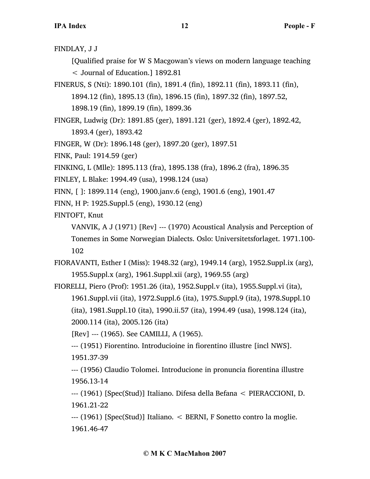FINDLAY, J J

[Qualified praise for W S Macgowan's views on modern language teaching < Journal of Education.] 1892.81

- FINERUS, S (Nti): 1890.101 (fin), 1891.4 (fin), 1892.11 (fin), 1893.11 (fin), 1894.12 (fin), 1895.13 (fin), 1896.15 (fin), 1897.32 (fin), 1897.52, 1898.19 (fin), 1899.19 (fin), 1899.36
- FINGER, Ludwig (Dr): 1891.85 (ger), 1891.121 (ger), 1892.4 (ger), 1892.42, 1893.4 (ger), 1893.42
- FINGER, W (Dr): 1896.148 (ger), 1897.20 (ger), 1897.51
- FINK, Paul: 1914.59 (ger)
- FINKING, L (Mlle): 1895.113 (fra), 1895.138 (fra), 1896.2 (fra), 1896.35
- FINLEY, L Blake: 1994.49 (usa), 1998.124 (usa)
- FINN, [ ]: 1899.114 (eng), 1900.janv.6 (eng), 1901.6 (eng), 1901.47
- FINN, H P: 1925.Suppl.5 (eng), 1930.12 (eng)
- FINTOFT, Knut

VANVIK, A J (1971) [Rev] --- (1970) Acoustical Analysis and Perception of Tonemes in Some Norwegian Dialects. Oslo: Universitetsforlaget. 1971.100- 102

FIORAVANTI, Esther I (Miss): 1948.32 (arg), 1949.14 (arg), 1952.Suppl.ix (arg), 1955.Suppl.x (arg), 1961.Suppl.xii (arg), 1969.55 (arg)

FIORELLI, Piero (Prof): 1951.26 (ita), 1952.Suppl.v (ita), 1955.Suppl.vi (ita), 1961.Suppl.vii (ita), 1972.Suppl.6 (ita), 1975.Suppl.9 (ita), 1978.Suppl.10 (ita), 1981.Suppl.10 (ita), 1990.ii.57 (ita), 1994.49 (usa), 1998.124 (ita), 2000.114 (ita), 2005.126 (ita)

[Rev] --- (1965). See CAMILLI, A (1965).

--- (1951) Fiorentino. Introducioine in fiorentino illustre [incl NWS]. 1951.37-39

--- (1956) Claudio Tolomei. Introducione in pronuncia fiorentina illustre 1956.13-14

--- (1961) [Spec(Stud)] Italiano. Difesa della Befana < PIERACCIONI, D. 1961.21-22

--- (1961) [Spec(Stud)] Italiano. < BERNI, F Sonetto contro la moglie. 1961.46-47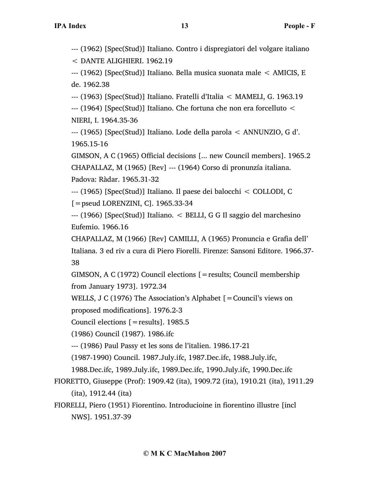--- (1962) [Spec(Stud)] Italiano. Contro i dispregiatori del volgare italiano

< DANTE ALIGHIERI. 1962.19

--- (1962) [Spec(Stud)] Italiano. Bella musica suonata male < AMICIS, E de. 1962.38

--- (1963) [Spec(Stud)] Italiano. Fratelli d'Italia < MAMELI, G. 1963.19

--- (1964) [Spec(Stud)] Italiano. Che fortuna che non era forcelluto < NIERI, I. 1964.35-36

--- (1965) [Spec(Stud)] Italiano. Lode della parola < ANNUNZIO, G d'. 1965.15-16

GIMSON, A C (1965) Official decisions [... new Council members]. 1965.2 CHAPALLAZ, M (1965) [Rev] --- (1964) Corso di pronunzía italiana. Padova: Ràdar. 1965.31-32

--- (1965) [Spec(Stud)] Italiano. Il paese dei balocchi < COLLODI, C

 $[$  = pseud LORENZINI, C]. 1965.33-34

--- (1966) [Spec(Stud)] Italiano. < BELLI, G G Il saggio del marchesino Eufemio. 1966.16

CHAPALLAZ, M (1966) [Rev] CAMILLI, A (1965) Pronuncia e Grafia dell' Italiana. 3 ed riv a cura di Piero Fiorelli. Firenze: Sansoni Editore. 1966.37- 38

GIMSON, A C (1972) Council elections [=results; Council membership from January 1973]. 1972.34

WELLS, J C (1976) The Association's Alphabet [=Council's views on

proposed modifications]. 1976.2-3

Council elections [=results]. 1985.5

(1986) Council (1987). 1986.ifc

--- (1986) Paul Passy et les sons de l'italien. 1986.17-21

(1987-1990) Council. 1987.July.ifc, 1987.Dec.ifc, 1988.July.ifc,

1988.Dec.ifc, 1989.July.ifc, 1989.Dec.ifc, 1990.July.ifc, 1990.Dec.ifc

FIORETTO, Giuseppe (Prof): 1909.42 (ita), 1909.72 (ita), 1910.21 (ita), 1911.29 (ita), 1912.44 (ita)

FIORELLI, Piero (1951) Fiorentino. Introducioine in fiorentino illustre [incl NWS]. 1951.37-39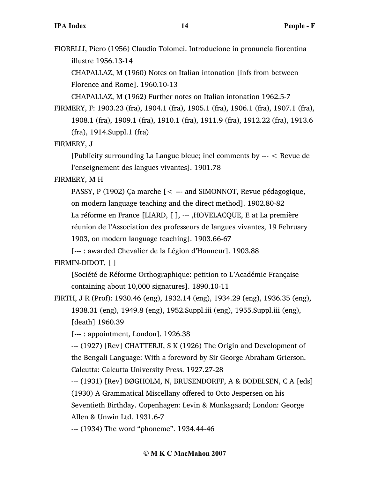FIORELLI, Piero (1956) Claudio Tolomei. Introducione in pronuncia fiorentina illustre 1956.13-14

CHAPALLAZ, M (1960) Notes on Italian intonation [infs from between Florence and Rome]. 1960.10-13

CHAPALLAZ, M (1962) Further notes on Italian intonation 1962.5-7

FIRMERY, F: 1903.23 (fra), 1904.1 (fra), 1905.1 (fra), 1906.1 (fra), 1907.1 (fra), 1908.1 (fra), 1909.1 (fra), 1910.1 (fra), 1911.9 (fra), 1912.22 (fra), 1913.6 (fra), 1914.Suppl.1 (fra)

FIRMERY, J

[Publicity surrounding La Langue bleue; incl comments by --- < Revue de l'enseignement des langues vivantes]. 1901.78

# FIRMERY, M H

PASSY, P (1902) Ça marche [< --- and SIMONNOT, Revue pédagogique, on modern language teaching and the direct method]. 1902.80-82

La réforme en France [LIARD, [ ], --- ,HOVELACQUE, E at La première

réunion de l'Association des professeurs de langues vivantes, 19 February

1903, on modern language teaching]. 1903.66-67

[--- : awarded Chevalier de la Légion d'Honneur]. 1903.88

# FIRMIN-DIDOT, [ ]

[Société de Réforme Orthographique: petition to L'Académie Française containing about 10,000 signatures]. 1890.10-11

FIRTH, J R (Prof): 1930.46 (eng), 1932.14 (eng), 1934.29 (eng), 1936.35 (eng), 1938.31 (eng), 1949.8 (eng), 1952.Suppl.iii (eng), 1955.Suppl.iii (eng), [death] 1960.39

[--- : appointment, London]. 1926.38

--- (1927) [Rev] CHATTERJI, S K (1926) The Origin and Development of the Bengali Language: With a foreword by Sir George Abraham Grierson. Calcutta: Calcutta University Press. 1927.27-28

--- (1931) [Rev] BØGHOLM, N, BRUSENDORFF, A & BODELSEN, C A [eds] (1930) A Grammatical Miscellany offered to Otto Jespersen on his Seventieth Birthday. Copenhagen: Levin & Munksgaard; London: George Allen & Unwin Ltd. 1931.6-7

--- (1934) The word "phoneme". 1934.44-46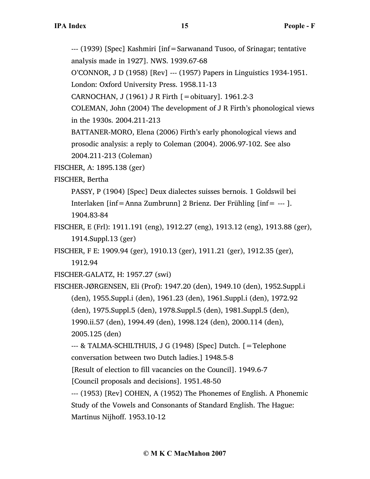--- (1939) [Spec] Kashmiri [inf=Sarwanand Tusoo, of Srinagar; tentative analysis made in 1927]. NWS. 1939.67-68

O'CONNOR, J D (1958) [Rev] --- (1957) Papers in Linguistics 1934-1951. London: Oxford University Press. 1958.11-13

CARNOCHAN, J (1961) J R Firth [=obituary]. 1961.2-3

COLEMAN, John (2004) The development of J R Firth's phonological views in the 1930s. 2004.211-213

BATTANER-MORO, Elena (2006) Firth's early phonological views and prosodic analysis: a reply to Coleman (2004). 2006.97-102. See also 2004.211-213 (Coleman)

FISCHER, A: 1895.138 (ger)

FISCHER, Bertha

PASSY, P (1904) [Spec] Deux dialectes suisses bernois. 1 Goldswil bei Interlaken [inf=Anna Zumbrunn] 2 Brienz. Der Frühling [inf= --- ]. 1904.83-84

FISCHER, E (Frl): 1911.191 (eng), 1912.27 (eng), 1913.12 (eng), 1913.88 (ger), 1914.Suppl.13 (ger)

FISCHER, F E: 1909.94 (ger), 1910.13 (ger), 1911.21 (ger), 1912.35 (ger),

1912.94

FISCHER-GALATZ, H: 1957.27 (swi)

FISCHER-JØRGENSEN, Eli (Prof): 1947.20 (den), 1949.10 (den), 1952.Suppl.i (den), 1955.Suppl.i (den), 1961.23 (den), 1961.Suppl.i (den), 1972.92 (den), 1975.Suppl.5 (den), 1978.Suppl.5 (den), 1981.Suppl.5 (den), 1990.ii.57 (den), 1994.49 (den), 1998.124 (den), 2000.114 (den),

2005.125 (den)

--- & TALMA-SCHILTHUIS, J G (1948) [Spec] Dutch. [=Telephone conversation between two Dutch ladies.] 1948.5-8

[Result of election to fill vacancies on the Council]. 1949.6-7

[Council proposals and decisions]. 1951.48-50

--- (1953) [Rev] COHEN, A (1952) The Phonemes of English. A Phonemic Study of the Vowels and Consonants of Standard English. The Hague: Martinus Nijhoff. 1953.10-12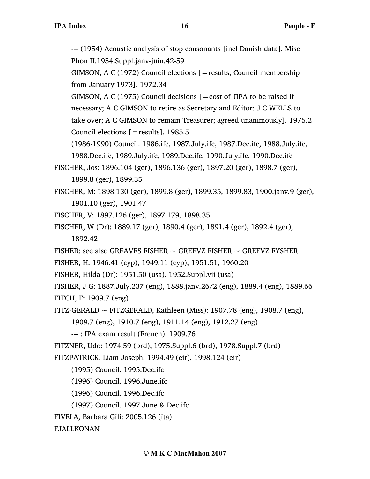--- (1954) Acoustic analysis of stop consonants [incl Danish data]. Misc Phon II.1954.Suppl.janv-juin.42-59

GIMSON, A C (1972) Council elections [=results; Council membership from January 1973]. 1972.34

GIMSON, A C (1975) Council decisions  $[ = \text{cost of JIPA to be raised if}]$ necessary; A C GIMSON to retire as Secretary and Editor: J C WELLS to take over; A C GIMSON to remain Treasurer; agreed unanimously]. 1975.2 Council elections [=results]. 1985.5

(1986-1990) Council. 1986.ifc, 1987.July.ifc, 1987.Dec.ifc, 1988.July.ifc, 1988.Dec.ifc, 1989.July.ifc, 1989.Dec.ifc, 1990.July.ifc, 1990.Dec.ifc

- FISCHER, Jos: 1896.104 (ger), 1896.136 (ger), 1897.20 (ger), 1898.7 (ger), 1899.8 (ger), 1899.35
- FISCHER, M: 1898.130 (ger), 1899.8 (ger), 1899.35, 1899.83, 1900.janv.9 (ger), 1901.10 (ger), 1901.47
- FISCHER, V: 1897.126 (ger), 1897.179, 1898.35
- FISCHER, W (Dr): 1889.17 (ger), 1890.4 (ger), 1891.4 (ger), 1892.4 (ger), 1892.42
- FISHER: see also GREAVES FISHER  $\sim$  GREEVZ FISHER  $\sim$  GREEVZ FYSHER
- FISHER, H: 1946.41 (cyp), 1949.11 (cyp), 1951.51, 1960.20
- FISHER, Hilda (Dr): 1951.50 (usa), 1952.Suppl.vii (usa)

FISHER, J G: 1887.July.237 (eng), 1888.janv.26/2 (eng), 1889.4 (eng), 1889.66 FITCH, F: 1909.7 (eng)

FITZ-GERALD  $\sim$  FITZGERALD, Kathleen (Miss): 1907.78 (eng), 1908.7 (eng),

1909.7 (eng), 1910.7 (eng), 1911.14 (eng), 1912.27 (eng)

--- : IPA exam result (French). 1909.76

FITZNER, Udo: 1974.59 (brd), 1975.Suppl.6 (brd), 1978.Suppl.7 (brd)

FITZPATRICK, Liam Joseph: 1994.49 (eir), 1998.124 (eir)

(1995) Council. 1995.Dec.ifc

(1996) Council. 1996.June.ifc

(1996) Council. 1996.Dec.ifc

(1997) Council. 1997.June & Dec.ifc

FIVELA, Barbara Gili: 2005.126 (ita)

FJALLKONAN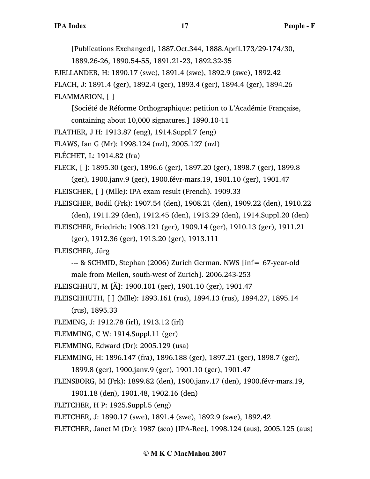[Publications Exchanged], 1887.Oct.344, 1888.April.173/29-174/30,

1889.26-26, 1890.54-55, 1891.21-23, 1892.32-35

FJELLANDER, H: 1890.17 (swe), 1891.4 (swe), 1892.9 (swe), 1892.42

FLACH, J: 1891.4 (ger), 1892.4 (ger), 1893.4 (ger), 1894.4 (ger), 1894.26 FLAMMARION, [ ]

[Société de Réforme Orthographique: petition to L'Académie Française, containing about 10,000 signatures.] 1890.10-11

FLATHER, J H: 1913.87 (eng), 1914.Suppl.7 (eng)

FLAWS, Ian G (Mr): 1998.124 (nzl), 2005.127 (nzl)

FLÉCHET, L: 1914.82 (fra)

FLECK, [ ]: 1895.30 (ger), 1896.6 (ger), 1897.20 (ger), 1898.7 (ger), 1899.8 (ger), 1900.janv.9 (ger), 1900.févr-mars.19, 1901.10 (ger), 1901.47

FLEISCHER, [ ] (Mlle): IPA exam result (French). 1909.33

FLEISCHER, Bodil (Frk): 1907.54 (den), 1908.21 (den), 1909.22 (den), 1910.22 (den), 1911.29 (den), 1912.45 (den), 1913.29 (den), 1914.Suppl.20 (den)

FLEISCHER, Friedrich: 1908.121 (ger), 1909.14 (ger), 1910.13 (ger), 1911.21

(ger), 1912.36 (ger), 1913.20 (ger), 1913.111

FLEISCHER, Jürg

--- & SCHMID, Stephan (2006) Zurich German. NWS [inf= 67-year-old

male from Meilen, south-west of Zurich]. 2006.243-253

FLEISCHHUT, M [Ä]: 1900.101 (ger), 1901.10 (ger), 1901.47

FLEISCHHUTH, [ ] (Mlle): 1893.161 (rus), 1894.13 (rus), 1894.27, 1895.14

(rus), 1895.33

FLEMING, J: 1912.78 (irl), 1913.12 (irl)

FLEMMING, C W: 1914.Suppl.11 (ger)

FLEMMING, Edward (Dr): 2005.129 (usa)

FLEMMING, H: 1896.147 (fra), 1896.188 (ger), 1897.21 (ger), 1898.7 (ger),

1899.8 (ger), 1900.janv.9 (ger), 1901.10 (ger), 1901.47

FLENSBORG, M (Frk): 1899.82 (den), 1900.janv.17 (den), 1900.févr-mars.19,

1901.18 (den), 1901.48, 1902.16 (den)

FLETCHER, H P: 1925.Suppl.5 (eng)

FLETCHER, J: 1890.17 (swe), 1891.4 (swe), 1892.9 (swe), 1892.42

FLETCHER, Janet M (Dr): 1987 (sco) [IPA-Rec], 1998.124 (aus), 2005.125 (aus)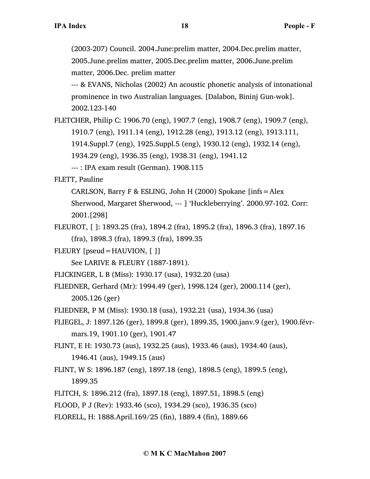(2003-207) Council. 2004.June:prelim matter, 2004.Dec.prelim matter, 2005.June.prelim matter, 2005.Dec.prelim matter, 2006.June.prelim matter, 2006.Dec. prelim matter

--- & EVANS, Nicholas (2002) An acoustic phonetic analysis of intonational prominence in two Australian languages. [Dalabon, Bininj Gun-wok]. 2002.123-140

FLETCHER, Philip C: 1906.70 (eng), 1907.7 (eng), 1908.7 (eng), 1909.7 (eng), 1910.7 (eng), 1911.14 (eng), 1912.28 (eng), 1913.12 (eng), 1913.111,

1914.Suppl.7 (eng), 1925.Suppl.5 (eng), 1930.12 (eng), 1932.14 (eng),

1934.29 (eng), 1936.35 (eng), 1938.31 (eng), 1941.12

--- : IPA exam result (German). 1908.115

FLETT, Pauline

CARLSON, Barry F & ESLING, John H (2000) Spokane [infs=Alex

Sherwood, Margaret Sherwood, --- ] 'Huckleberrying'. 2000.97-102. Corr: 2001.[298]

FLEUROT, [ ]: 1893.25 (fra), 1894.2 (fra), 1895.2 (fra), 1896.3 (fra), 1897.16 (fra), 1898.3 (fra), 1899.3 (fra), 1899.35

FLEURY [pseud=HAUVION, [ ]]

See LARIVE & FLEURY (1887-1891).

FLICKINGER, L B (Miss): 1930.17 (usa), 1932.20 (usa)

FLIEDNER, Gerhard (Mr): 1994.49 (ger), 1998.124 (ger), 2000.114 (ger), 2005.126 (ger)

- FLIEDNER, P M (Miss): 1930.18 (usa), 1932.21 (usa), 1934.36 (usa)
- FLIEGEL, J: 1897.126 (ger), 1899.8 (ger), 1899.35, 1900.janv.9 (ger), 1900.févrmars.19, 1901.10 (ger), 1901.47

FLINT, E H: 1930.73 (aus), 1932.25 (aus), 1933.46 (aus), 1934.40 (aus), 1946.41 (aus), 1949.15 (aus)

- FLINT, W S: 1896.187 (eng), 1897.18 (eng), 1898.5 (eng), 1899.5 (eng), 1899.35
- FLITCH, S: 1896.212 (fra), 1897.18 (eng), 1897.51, 1898.5 (eng)

FLOOD, P J (Rev): 1933.46 (sco), 1934.29 (sco), 1936.35 (sco)

FLORELL, H: 1888.April.169/25 (fin), 1889.4 (fin), 1889.66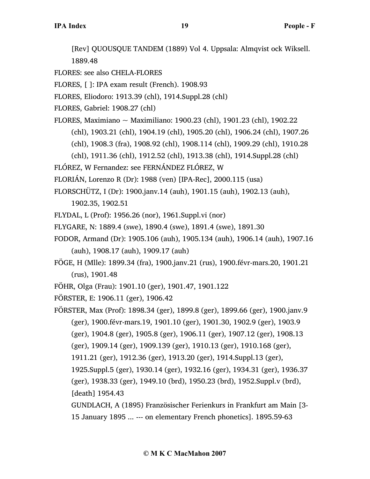[Rev] QUOUSQUE TANDEM (1889) Vol 4. Uppsala: Almqvist ock Wiksell. 1889.48

FLORES: see also CHELA-FLORES

FLORES, [ ]: IPA exam result (French). 1908.93

FLORES, Eliodoro: 1913.39 (chl), 1914.Suppl.28 (chl)

FLORES, Gabriel: 1908.27 (chl)

FLORES, Maximiano ~ Maximiliano: 1900.23 (chl), 1901.23 (chl), 1902.22

(chl), 1903.21 (chl), 1904.19 (chl), 1905.20 (chl), 1906.24 (chl), 1907.26

(chl), 1908.3 (fra), 1908.92 (chl), 1908.114 (chl), 1909.29 (chl), 1910.28

(chl), 1911.36 (chl), 1912.52 (chl), 1913.38 (chl), 1914.Suppl.28 (chl)

FLÓREZ, W Fernandez: see FERNÁNDEZ FLÓREZ, W

FLORIÁN, Lorenzo R (Dr): 1988 (ven) [IPA-Rec], 2000.115 (usa)

FLORSCHÜTZ, I (Dr): 1900.janv.14 (auh), 1901.15 (auh), 1902.13 (auh),

1902.35, 1902.51

FLYDAL, L (Prof): 1956.26 (nor), 1961.Suppl.vi (nor)

FLYGARE, N: 1889.4 (swe), 1890.4 (swe), 1891.4 (swe), 1891.30

- FODOR, Armand (Dr): 1905.106 (auh), 1905.134 (auh), 1906.14 (auh), 1907.16 (auh), 1908.17 (auh), 1909.17 (auh)
- FÖGE, H (Mlle): 1899.34 (fra), 1900.janv.21 (rus), 1900.févr-mars.20, 1901.21 (rus), 1901.48
- FÖHR, Olga (Frau): 1901.10 (ger), 1901.47, 1901.122

FÖRSTER, E: 1906.11 (ger), 1906.42

FÖRSTER, Max (Prof): 1898.34 (ger), 1899.8 (ger), 1899.66 (ger), 1900.janv.9 (ger), 1900.févr-mars.19, 1901.10 (ger), 1901.30, 1902.9 (ger), 1903.9 (ger), 1904.8 (ger), 1905.8 (ger), 1906.11 (ger), 1907.12 (ger), 1908.13 (ger), 1909.14 (ger), 1909.139 (ger), 1910.13 (ger), 1910.168 (ger), 1911.21 (ger), 1912.36 (ger), 1913.20 (ger), 1914.Suppl.13 (ger), 1925.Suppl.5 (ger), 1930.14 (ger), 1932.16 (ger), 1934.31 (ger), 1936.37 (ger), 1938.33 (ger), 1949.10 (brd), 1950.23 (brd), 1952.Suppl.v (brd), [death] 1954.43 GUNDLACH, A (1895) Französischer Ferienkurs in Frankfurt am Main [3-

15 January 1895 ... --- on elementary French phonetics]. 1895.59-63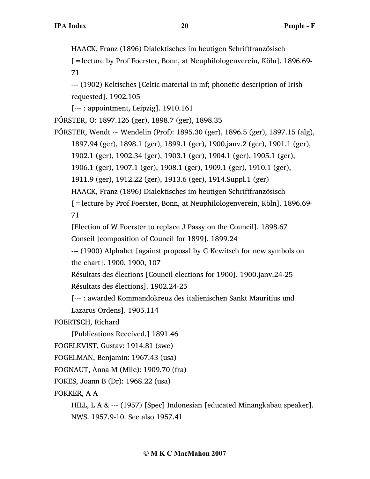HAACK, Franz (1896) Dialektisches im heutigen Schriftfranzösisch

[=lecture by Prof Foerster, Bonn, at Neuphilologenverein, Köln]. 1896.69- 71

--- (1902) Keltisches [Celtic material in mf; phonetic description of Irish requested]. 1902.105

[--- : appointment, Leipzig]. 1910.161

FÖRSTER, O: 1897.126 (ger), 1898.7 (ger), 1898.35

FORSTER, Wendt  $\sim$  Wendelin (Prof): 1895.30 (ger), 1896.5 (ger), 1897.15 (alg), 1897.94 (ger), 1898.1 (ger), 1899.1 (ger), 1900.janv.2 (ger), 1901.1 (ger),

1902.1 (ger), 1902.34 (ger), 1903.1 (ger), 1904.1 (ger), 1905.1 (ger),

1906.1 (ger), 1907.1 (ger), 1908.1 (ger), 1909.1 (ger), 1910.1 (ger),

1911.9 (ger), 1912.22 (ger), 1913.6 (ger), 1914.Suppl.1 (ger)

HAACK, Franz (1896) Dialektisches im heutigen Schriftfranzösisch

[=lecture by Prof Foerster, Bonn, at Neuphilologenverein, Köln]. 1896.69- 71

[Election of W Foerster to replace J Passy on the Council]. 1898.67

Conseil [composition of Council for 1899]. 1899.24

--- (1900) Alphabet [against proposal by G Kewitsch for new symbols on the chart]. 1900. 1900, 107

Résultats des élections [Council elections for 1900]. 1900.janv.24-25 Résultats des élections]. 1902.24-25

[--- : awarded Kommandokreuz des italienischen Sankt Mauritius und Lazarus Ordens]. 1905.114

FOERTSCH, Richard

[Publications Received.] 1891.46

FOGELKVIST, Gustav: 1914.81 (swe)

FOGELMAN, Benjamin: 1967.43 (usa)

FOGNAUT, Anna M (Mlle): 1909.70 (fra)

FOKES, Joann B (Dr): 1968.22 (usa)

FOKKER, A A

HILL, L A & --- (1957) [Spec] Indonesian [educated Minangkabau speaker]. NWS. 1957.9-10. See also 1957.41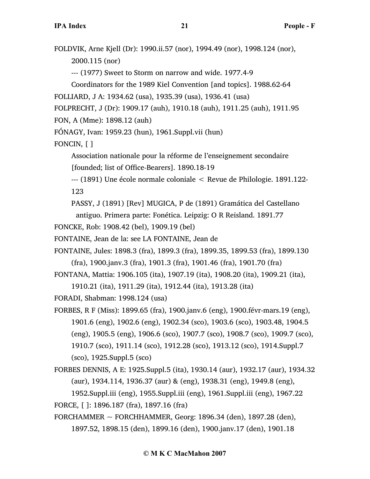FOLDVIK, Arne Kjell (Dr): 1990.ii.57 (nor), 1994.49 (nor), 1998.124 (nor), 2000.115 (nor)

--- (1977) Sweet to Storm on narrow and wide. 1977.4-9

Coordinators for the 1989 Kiel Convention [and topics]. 1988.62-64

```
FOLLIARD, J A: 1934.62 (usa), 1935.39 (usa), 1936.41 (usa)
```
FOLPRECHT, J (Dr): 1909.17 (auh), 1910.18 (auh), 1911.25 (auh), 1911.95

FON, A (Mme): 1898.12 (auh)

FÓNAGY, Ivan: 1959.23 (hun), 1961.Suppl.vii (hun)

FONCIN, [ ]

Association nationale pour la réforme de l'enseignement secondaire

[founded; list of Office-Bearers]. 1890.18-19

--- (1891) Une école normale coloniale < Revue de Philologie. 1891.122- 123

PASSY, J (1891) [Rev] MUGICA, P de (1891) Gramática del Castellano

antiguo. Primera parte: Fonética. Leipzig: O R Reisland. 1891.77

FONCKE, Rob: 1908.42 (bel), 1909.19 (bel)

FONTAINE, Jean de la: see LA FONTAINE, Jean de

- FONTAINE, Jules: 1898.3 (fra), 1899.3 (fra), 1899.35, 1899.53 (fra), 1899.130 (fra), 1900.janv.3 (fra), 1901.3 (fra), 1901.46 (fra), 1901.70 (fra)
- FONTANA, Mattia: 1906.105 (ita), 1907.19 (ita), 1908.20 (ita), 1909.21 (ita),

1910.21 (ita), 1911.29 (ita), 1912.44 (ita), 1913.28 (ita)

FORADI, Shabman: 1998.124 (usa)

- FORBES, R F (Miss): 1899.65 (fra), 1900.janv.6 (eng), 1900.févr-mars.19 (eng), 1901.6 (eng), 1902.6 (eng), 1902.34 (sco), 1903.6 (sco), 1903.48, 1904.5 (eng), 1905.5 (eng), 1906.6 (sco), 1907.7 (sco), 1908.7 (sco), 1909.7 (sco), 1910.7 (sco), 1911.14 (sco), 1912.28 (sco), 1913.12 (sco), 1914.Suppl.7 (sco), 1925.Suppl.5 (sco)
- FORBES DENNIS, A E: 1925.Suppl.5 (ita), 1930.14 (aur), 1932.17 (aur), 1934.32 (aur), 1934.114, 1936.37 (aur) & (eng), 1938.31 (eng), 1949.8 (eng), 1952.Suppl.iii (eng), 1955.Suppl.iii (eng), 1961.Suppl.iii (eng), 1967.22

FORCE, [ ]: 1896.187 (fra), 1897.16 (fra)

FORCHAMMER  $\sim$  FORCHHAMMER, Georg: 1896.34 (den), 1897.28 (den), 1897.52, 1898.15 (den), 1899.16 (den), 1900.janv.17 (den), 1901.18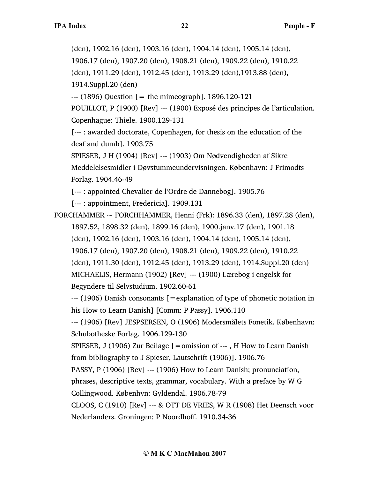(den), 1902.16 (den), 1903.16 (den), 1904.14 (den), 1905.14 (den), 1906.17 (den), 1907.20 (den), 1908.21 (den), 1909.22 (den), 1910.22 (den), 1911.29 (den), 1912.45 (den), 1913.29 (den),1913.88 (den), 1914.Suppl.20 (den)  $-$ -- $(1896)$  Question  $[$  = the mimeograph]. 1896.120-121 POUILLOT, P (1900) [Rev] --- (1900) Exposé des principes de l'articulation. Copenhague: Thiele. 1900.129-131 [--- : awarded doctorate, Copenhagen, for thesis on the education of the deaf and dumb]. 1903.75 SPIESER, J H (1904) [Rev] --- (1903) Om Nødvendigheden af Sikre Meddelelsesmidler i Døvstummeundervisningen. København: J Frimodts Forlag. 1904.46-49 [--- : appointed Chevalier de l'Ordre de Dannebog]. 1905.76 [--- : appointment, Fredericia]. 1909.131 FORCHAMMER  $\sim$  FORCHHAMMER, Henni (Frk): 1896.33 (den), 1897.28 (den), 1897.52, 1898.32 (den), 1899.16 (den), 1900.janv.17 (den), 1901.18 (den), 1902.16 (den), 1903.16 (den), 1904.14 (den), 1905.14 (den), 1906.17 (den), 1907.20 (den), 1908.21 (den), 1909.22 (den), 1910.22 (den), 1911.30 (den), 1912.45 (den), 1913.29 (den), 1914.Suppl.20 (den) MICHAELIS, Hermann (1902) [Rev] --- (1900) Lærebog i engelsk for Begyndere til Selvstudium. 1902.60-61 --- (1906) Danish consonants [=explanation of type of phonetic notation in his How to Learn Danish] [Comm: P Passy]. 1906.110 --- (1906) [Rev] JESPSERSEN, O (1906) Modersmålets Fonetik. København: Schubotheske Forlag. 1906.129-130 SPIESER, J (1906) Zur Beilage [=omission of --- , H How to Learn Danish from bibliography to J Spieser, Lautschrift (1906)]. 1906.76 PASSY, P (1906) [Rev] --- (1906) How to Learn Danish; pronunciation, phrases, descriptive texts, grammar, vocabulary. With a preface by W G Collingwood. Københvn: Gyldendal. 1906.78-79 CLOOS, C (1910) [Rev] --- & OTT DE VRIES, W R (1908) Het Deensch voor Nederlanders. Groningen: P Noordhoff. 1910.34-36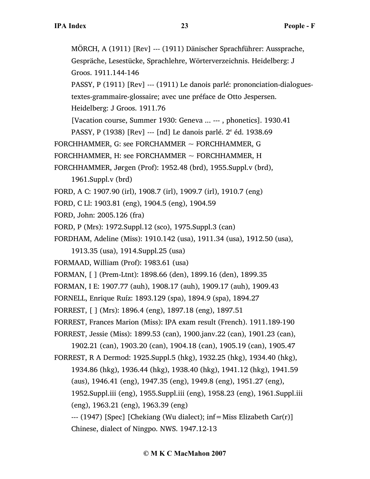MÖRCH, A (1911) [Rev] --- (1911) Dänischer Sprachführer: Aussprache, Gespräche, Lesestücke, Sprachlehre, Wörterverzeichnis. Heidelberg: J Groos. 1911.144-146 PASSY, P (1911) [Rev] --- (1911) Le danois parlé: prononciation-dialoguestextes-grammaire-glossaire; avec une préface de Otto Jespersen. Heidelberg: J Groos. 1911.76 [Vacation course, Summer 1930: Geneva ... --- , phonetics]. 1930.41 PASSY, P (1938) [Rev] --- [nd] Le danois parlé.  $2^e$  éd. 1938.69 FORCHHAMMER, G: see FORCHAMMER  $\sim$  FORCHHAMMER, G FORCHHAMMER, H: see FORCHAMMER  $\sim$  FORCHHAMMER, H FORCHHAMMER, Jørgen (Prof): 1952.48 (brd), 1955.Suppl.v (brd), 1961.Suppl.v (brd) FORD, A C: 1907.90 (irl), 1908.7 (irl), 1909.7 (irl), 1910.7 (eng) FORD, C Ll: 1903.81 (eng), 1904.5 (eng), 1904.59 FORD, John: 2005.126 (fra) FORD, P (Mrs): 1972.Suppl.12 (sco), 1975.Suppl.3 (can) FORDHAM, Adeline (Miss): 1910.142 (usa), 1911.34 (usa), 1912.50 (usa), 1913.35 (usa), 1914.Suppl.25 (usa) FORMAAD, William (Prof): 1983.61 (usa) FORMAN, [ ] (Prem-Ltnt): 1898.66 (den), 1899.16 (den), 1899.35 FORMAN, I E: 1907.77 (auh), 1908.17 (auh), 1909.17 (auh), 1909.43 FORNELL, Enrique Ruíz: 1893.129 (spa), 1894.9 (spa), 1894.27 FORREST, [ ] (Mrs): 1896.4 (eng), 1897.18 (eng), 1897.51 FORREST, Frances Marion (Miss): IPA exam result (French). 1911.189-190 FORREST, Jessie (Miss): 1899.53 (can), 1900.janv.22 (can), 1901.23 (can), 1902.21 (can), 1903.20 (can), 1904.18 (can), 1905.19 (can), 1905.47 FORREST, R A Dermod: 1925.Suppl.5 (hkg), 1932.25 (hkg), 1934.40 (hkg), 1934.86 (hkg), 1936.44 (hkg), 1938.40 (hkg), 1941.12 (hkg), 1941.59 (aus), 1946.41 (eng), 1947.35 (eng), 1949.8 (eng), 1951.27 (eng), 1952.Suppl.iii (eng), 1955.Suppl.iii (eng), 1958.23 (eng), 1961.Suppl.iii (eng), 1963.21 (eng), 1963.39 (eng) --- (1947) [Spec] [Chekiang (Wu dialect); inf=Miss Elizabeth Car(r)] Chinese, dialect of Ningpo. NWS. 1947.12-13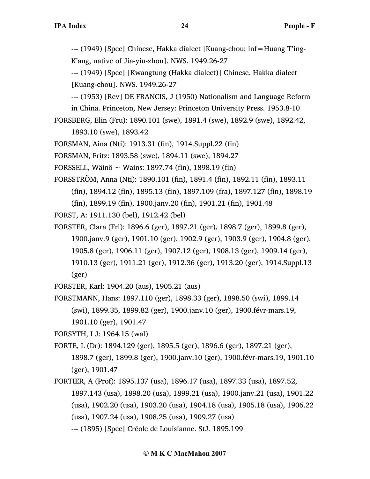--- (1949) [Spec] Chinese, Hakka dialect [Kuang-chou; inf=Huang T'ing-K'ang, native of Jia-yiu-zhou]. NWS. 1949.26-27

--- (1949) [Spec] [Kwangtung (Hakka dialect)] Chinese, Hakka dialect [Kuang-chou]. NWS. 1949.26-27

--- (1953) [Rev] DE FRANCIS, J (1950) Nationalism and Language Reform in China. Princeton, New Jersey: Princeton University Press. 1953.8-10

FORSBERG, Elin (Fru): 1890.101 (swe), 1891.4 (swe), 1892.9 (swe), 1892.42,

1893.10 (swe), 1893.42

FORSMAN, Aina (Nti): 1913.31 (fin), 1914.Suppl.22 (fin)

FORSMAN, Fritz: 1893.58 (swe), 1894.11 (swe), 1894.27

FORSSELL, Wäinö  $\sim$  Wains: 1897.74 (fin), 1898.19 (fin)

FORSSTRÖM, Anna (Nti): 1890.101 (fin), 1891.4 (fin), 1892.11 (fin), 1893.11

(fin), 1894.12 (fin), 1895.13 (fin), 1897.109 (fra), 1897.127 (fin), 1898.19

(fin), 1899.19 (fin), 1900.janv.20 (fin), 1901.21 (fin), 1901.48

FORST, A: 1911.130 (bel), 1912.42 (bel)

FORSTER, Clara (Frl): 1896.6 (ger), 1897.21 (ger), 1898.7 (ger), 1899.8 (ger),

1900.janv.9 (ger), 1901.10 (ger), 1902.9 (ger), 1903.9 (ger), 1904.8 (ger),

1905.8 (ger), 1906.11 (ger), 1907.12 (ger), 1908.13 (ger), 1909.14 (ger),

1910.13 (ger), 1911.21 (ger), 1912.36 (ger), 1913.20 (ger), 1914.Suppl.13 (ger)

FORSTER, Karl: 1904.20 (aus), 1905.21 (aus)

FORSTMANN, Hans: 1897.110 (ger), 1898.33 (ger), 1898.50 (swi), 1899.14

(swi), 1899.35, 1899.82 (ger), 1900.janv.10 (ger), 1900.févr-mars.19,

1901.10 (ger), 1901.47

FORSYTH, I J: 1964.15 (wal)

FORTE, L (Dr): 1894.129 (ger), 1895.5 (ger), 1896.6 (ger), 1897.21 (ger),

1898.7 (ger), 1899.8 (ger), 1900.janv.10 (ger), 1900.févr-mars.19, 1901.10 (ger), 1901.47

FORTIER, A (Prof): 1895.137 (usa), 1896.17 (usa), 1897.33 (usa), 1897.52, 1897.143 (usa), 1898.20 (usa), 1899.21 (usa), 1900.janv.21 (usa), 1901.22 (usa), 1902.20 (usa), 1903.20 (usa), 1904.18 (usa), 1905.18 (usa), 1906.22 (usa), 1907.24 (usa), 1908.25 (usa), 1909.27 (usa) --- (1895) [Spec] Créole de Louisianne. StJ. 1895.199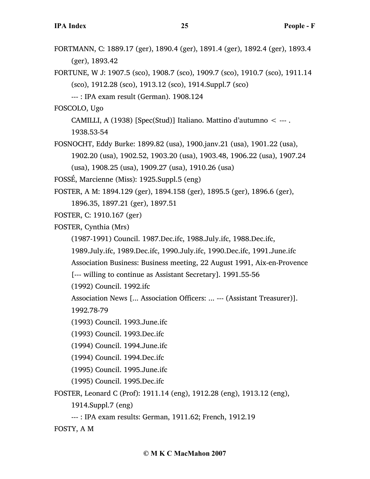- FORTMANN, C: 1889.17 (ger), 1890.4 (ger), 1891.4 (ger), 1892.4 (ger), 1893.4 (ger), 1893.42
- FORTUNE, W J: 1907.5 (sco), 1908.7 (sco), 1909.7 (sco), 1910.7 (sco), 1911.14 (sco), 1912.28 (sco), 1913.12 (sco), 1914.Suppl.7 (sco)
	- --- : IPA exam result (German). 1908.124

FOSCOLO, Ugo

CAMILLI, A (1938) [Spec(Stud)] Italiano. Mattino d'autumno < --- .

1938.53-54

FOSNOCHT, Eddy Burke: 1899.82 (usa), 1900.janv.21 (usa), 1901.22 (usa), 1902.20 (usa), 1902.52, 1903.20 (usa), 1903.48, 1906.22 (usa), 1907.24

(usa), 1908.25 (usa), 1909.27 (usa), 1910.26 (usa)

FOSSÉ, Marcienne (Miss): 1925.Suppl.5 (eng)

FOSTER, A M: 1894.129 (ger), 1894.158 (ger), 1895.5 (ger), 1896.6 (ger),

1896.35, 1897.21 (ger), 1897.51

FOSTER, C: 1910.167 (ger)

FOSTER, Cynthia (Mrs)

(1987-1991) Council. 1987.Dec.ifc, 1988.July.ifc, 1988.Dec.ifc,

1989.July.ifc, 1989.Dec.ifc, 1990.July.ifc, 1990.Dec.ifc, 1991.June.ifc

Association Business: Business meeting, 22 August 1991, Aix-en-Provence

[--- willing to continue as Assistant Secretary]. 1991.55-56

(1992) Council. 1992.ifc

Association News [... Association Officers: ... --- (Assistant Treasurer)].

1992.78-79

(1993) Council. 1993.June.ifc

(1993) Council. 1993.Dec.ifc

(1994) Council. 1994.June.ifc

(1994) Council. 1994.Dec.ifc

(1995) Council. 1995.June.ifc

(1995) Council. 1995.Dec.ifc

FOSTER, Leonard C (Prof): 1911.14 (eng), 1912.28 (eng), 1913.12 (eng),

1914.Suppl.7 (eng)

--- : IPA exam results: German, 1911.62; French, 1912.19

FOSTY, A M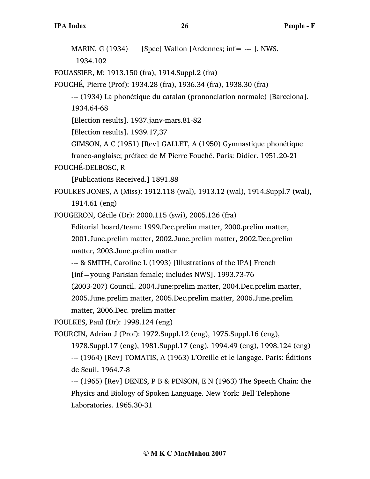MARIN,  $G(1934)$  [Spec] Wallon [Ardennes; inf= --- ]. NWS. 1934.102 FOUASSIER, M: 1913.150 (fra), 1914.Suppl.2 (fra) FOUCHÉ, Pierre (Prof): 1934.28 (fra), 1936.34 (fra), 1938.30 (fra) --- (1934) La phonétique du catalan (prononciation normale) [Barcelona]. 1934.64-68 [Election results]. 1937.janv-mars.81-82 [Election results]. 1939.17,37 GIMSON, A C (1951) [Rev] GALLET, A (1950) Gymnastique phonétique franco-anglaise; préface de M Pierre Fouché. Paris: Didier. 1951.20-21 FOUCHÉ-DELBOSC, R [Publications Received.] 1891.88 FOULKES JONES, A (Miss): 1912.118 (wal), 1913.12 (wal), 1914.Suppl.7 (wal), 1914.61 (eng) FOUGERON, Cécile (Dr): 2000.115 (swi), 2005.126 (fra) Editorial board/team: 1999.Dec.prelim matter, 2000.prelim matter, 2001.June.prelim matter, 2002.June.prelim matter, 2002.Dec.prelim matter, 2003.June.prelim matter --- & SMITH, Caroline L (1993) [Illustrations of the IPA] French [inf=young Parisian female; includes NWS]. 1993.73-76 (2003-207) Council. 2004.June:prelim matter, 2004.Dec.prelim matter, 2005.June.prelim matter, 2005.Dec.prelim matter, 2006.June.prelim matter, 2006.Dec. prelim matter FOULKES, Paul (Dr): 1998.124 (eng) FOURCIN, Adrian J (Prof): 1972.Suppl.12 (eng), 1975.Suppl.16 (eng), 1978.Suppl.17 (eng), 1981.Suppl.17 (eng), 1994.49 (eng), 1998.124 (eng) --- (1964) [Rev] TOMATIS, A (1963) L'Oreille et le langage. Paris: Éditions de Seuil. 1964.7-8 --- (1965) [Rev] DENES, P B & PINSON, E N (1963) The Speech Chain: the Physics and Biology of Spoken Language. New York: Bell Telephone Laboratories. 1965.30-31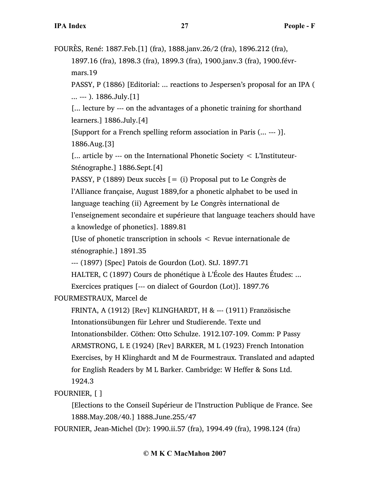FOURÈS, René: 1887.Feb.[1] (fra), 1888.janv.26/2 (fra), 1896.212 (fra), 1897.16 (fra), 1898.3 (fra), 1899.3 (fra), 1900.janv.3 (fra), 1900.févrmars.19 PASSY, P (1886) [Editorial: ... reactions to Jespersen's proposal for an IPA ( ... --- ). 1886.July.[1] [... lecture by --- on the advantages of a phonetic training for shorthand learners.] 1886.July.[4] [Support for a French spelling reform association in Paris (... --- )]. 1886.Aug.[3] [... article by --- on the International Phonetic Society < L'Instituteur-Sténographe.] 1886.Sept.[4] PASSY, P (1889) Deux succès  $[= (i)$  Proposal put to Le Congrès de l'Alliance française, August 1889,for a phonetic alphabet to be used in language teaching (ii) Agreement by Le Congrès international de l'enseignement secondaire et supérieure that language teachers should have a knowledge of phonetics]. 1889.81 [Use of phonetic transcription in schools < Revue internationale de sténographie.] 1891.35 --- (1897) [Spec] Patois de Gourdon (Lot). StJ. 1897.71 HALTER, C (1897) Cours de phonétique à L'École des Hautes Études: ... Exercices pratiques [--- on dialect of Gourdon (Lot)]. 1897.76 FOURMESTRAUX, Marcel de FRINTA, A (1912) [Rev] KLINGHARDT, H & --- (1911) Französische Intonationsübungen für Lehrer und Studierende. Texte und Intonationsbilder. Cöthen: Otto Schulze. 1912.107-109. Comm: P Passy

ARMSTRONG, L E (1924) [Rev] BARKER, M L (1923) French Intonation Exercises, by H Klinghardt and M de Fourmestraux. Translated and adapted for English Readers by M L Barker. Cambridge: W Heffer & Sons Ltd. 1924.3

FOURNIER, [ ]

[Elections to the Conseil Supérieur de l'Instruction Publique de France. See 1888.May.208/40.] 1888.June.255/47

FOURNIER, Jean-Michel (Dr): 1990.ii.57 (fra), 1994.49 (fra), 1998.124 (fra)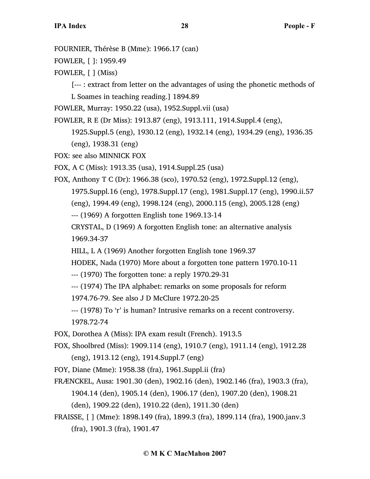FOURNIER, Thérèse B (Mme): 1966.17 (can)

FOWLER, [ ]: 1959.49

FOWLER, [ ] (Miss)

[--- : extract from letter on the advantages of using the phonetic methods of L Soames in teaching reading.] 1894.89

FOWLER, Murray: 1950.22 (usa), 1952.Suppl.vii (usa)

FOWLER, R E (Dr Miss): 1913.87 (eng), 1913.111, 1914.Suppl.4 (eng),

1925.Suppl.5 (eng), 1930.12 (eng), 1932.14 (eng), 1934.29 (eng), 1936.35 (eng), 1938.31 (eng)

FOX: see also MINNICK FOX

FOX, A C (Miss): 1913.35 (usa), 1914.Suppl.25 (usa)

FOX, Anthony T C (Dr): 1966.38 (sco), 1970.52 (eng), 1972.Suppl.12 (eng), 1975.Suppl.16 (eng), 1978.Suppl.17 (eng), 1981.Suppl.17 (eng), 1990.ii.57 (eng), 1994.49 (eng), 1998.124 (eng), 2000.115 (eng), 2005.128 (eng) --- (1969) A forgotten English tone 1969.13-14 CRYSTAL, D (1969) A forgotten English tone: an alternative analysis

1969.34-37

HILL, L A (1969) Another forgotten English tone 1969.37

HODEK, Nada (1970) More about a forgotten tone pattern 1970.10-11

--- (1970) The forgotten tone: a reply 1970.29-31

--- (1974) The IPA alphabet: remarks on some proposals for reform

1974.76-79. See also J D McClure 1972.20-25

--- (1978) To 'r' is human? Intrusive remarks on a recent controversy. 1978.72-74

FOX, Dorothea A (Miss): IPA exam result (French). 1913.5

FOX, Shoolbred (Miss): 1909.114 (eng), 1910.7 (eng), 1911.14 (eng), 1912.28 (eng), 1913.12 (eng), 1914.Suppl.7 (eng)

FOY, Diane (Mme): 1958.38 (fra), 1961.Suppl.ii (fra)

- FRÆNCKEL, Ausa: 1901.30 (den), 1902.16 (den), 1902.146 (fra), 1903.3 (fra), 1904.14 (den), 1905.14 (den), 1906.17 (den), 1907.20 (den), 1908.21 (den), 1909.22 (den), 1910.22 (den), 1911.30 (den)
- FRAISSE, [ ] (Mme): 1898.149 (fra), 1899.3 (fra), 1899.114 (fra), 1900.janv.3 (fra), 1901.3 (fra), 1901.47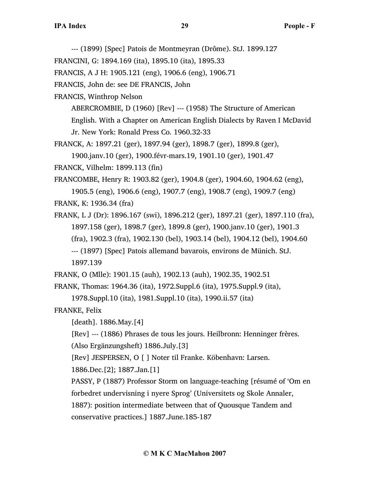--- (1899) [Spec] Patois de Montmeyran (Drôme). StJ. 1899.127

FRANCINI, G: 1894.169 (ita), 1895.10 (ita), 1895.33

FRANCIS, A J H: 1905.121 (eng), 1906.6 (eng), 1906.71

FRANCIS, John de: see DE FRANCIS, John

FRANCIS, Winthrop Nelson

ABERCROMBIE, D (1960) [Rev] --- (1958) The Structure of American

English. With a Chapter on American English Dialects by Raven I McDavid

Jr. New York: Ronald Press Co. 1960.32-33

FRANCK, A: 1897.21 (ger), 1897.94 (ger), 1898.7 (ger), 1899.8 (ger),

1900.janv.10 (ger), 1900.févr-mars.19, 1901.10 (ger), 1901.47

FRANCK, Vilhelm: 1899.113 (fin)

FRANCOMBE, Henry R: 1903.82 (ger), 1904.8 (ger), 1904.60, 1904.62 (eng),

1905.5 (eng), 1906.6 (eng), 1907.7 (eng), 1908.7 (eng), 1909.7 (eng) FRANK, K: 1936.34 (fra)

FRANK, L J (Dr): 1896.167 (swi), 1896.212 (ger), 1897.21 (ger), 1897.110 (fra), 1897.158 (ger), 1898.7 (ger), 1899.8 (ger), 1900.janv.10 (ger), 1901.3 (fra), 1902.3 (fra), 1902.130 (bel), 1903.14 (bel), 1904.12 (bel), 1904.60 --- (1897) [Spec] Patois allemand bavarois, environs de Münich. StJ. 1897.139

FRANK, O (Mlle): 1901.15 (auh), 1902.13 (auh), 1902.35, 1902.51

FRANK, Thomas: 1964.36 (ita), 1972.Suppl.6 (ita), 1975.Suppl.9 (ita),

1978.Suppl.10 (ita), 1981.Suppl.10 (ita), 1990.ii.57 (ita)

FRANKE, Felix

[death]. 1886.May.[4]

[Rev] --- (1886) Phrases de tous les jours. Heilbronn: Henninger frères.

(Also Ergänzungsheft) 1886.July.[3]

[Rev] JESPERSEN, O [ ] Noter til Franke. Köbenhavn: Larsen.

1886.Dec.[2]; 1887.Jan.[1]

PASSY, P (1887) Professor Storm on language-teaching [résumé of 'Om en forbedret undervisning i nyere Sprog' (Universitets og Skole Annaler,

1887): position intermediate between that of Quousque Tandem and

conservative practices.] 1887.June.185-187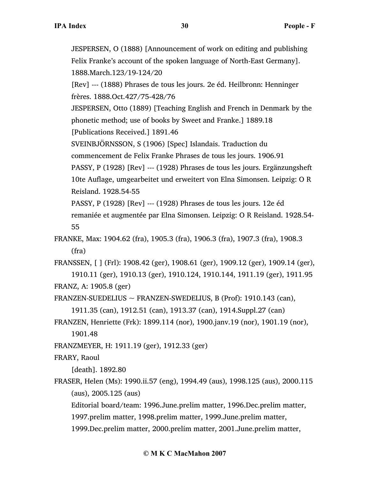JESPERSEN, O (1888) [Announcement of work on editing and publishing Felix Franke's account of the spoken language of North-East Germany]. 1888.March.123/19-124/20 [Rev] --- (1888) Phrases de tous les jours. 2e éd. Heilbronn: Henninger frères. 1888.Oct.427/75-428/76 JESPERSEN, Otto (1889) [Teaching English and French in Denmark by the phonetic method; use of books by Sweet and Franke.] 1889.18 [Publications Received.] 1891.46 SVEINBJÖRNSSON, S (1906) [Spec] Islandais. Traduction du commencement de Felix Franke Phrases de tous les jours. 1906.91 PASSY, P (1928) [Rev] --- (1928) Phrases de tous les jours. Ergänzungsheft 10te Auflage, umgearbeitet und erweitert von Elna Simonsen. Leipzig: O R

Reisland. 1928.54-55

PASSY, P (1928) [Rev] --- (1928) Phrases de tous les jours. 12e éd

remaniée et augmentée par Elna Simonsen. Leipzig: O R Reisland. 1928.54- 55

FRANKE, Max: 1904.62 (fra), 1905.3 (fra), 1906.3 (fra), 1907.3 (fra), 1908.3 (fra)

FRANSSEN, [ ] (Frl): 1908.42 (ger), 1908.61 (ger), 1909.12 (ger), 1909.14 (ger), 1910.11 (ger), 1910.13 (ger), 1910.124, 1910.144, 1911.19 (ger), 1911.95 FRANZ, A: 1905.8 (ger)

FRANZEN-SUEDELIUS  $\sim$  FRANZEN-SWEDELIUS, B (Prof): 1910.143 (can), 1911.35 (can), 1912.51 (can), 1913.37 (can), 1914.Suppl.27 (can)

- FRANZEN, Henriette (Frk): 1899.114 (nor), 1900.janv.19 (nor), 1901.19 (nor), 1901.48
- FRANZMEYER, H: 1911.19 (ger), 1912.33 (ger)

FRARY, Raoul

[death]. 1892.80

FRASER, Helen (Ms): 1990.ii.57 (eng), 1994.49 (aus), 1998.125 (aus), 2000.115 (aus), 2005.125 (aus)

Editorial board/team: 1996.June.prelim matter, 1996.Dec.prelim matter, 1997.prelim matter, 1998.prelim matter, 1999.June.prelim matter,

1999.Dec.prelim matter, 2000.prelim matter, 2001.June.prelim matter,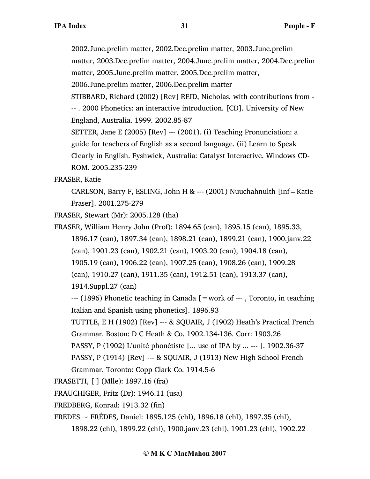2002.June.prelim matter, 2002.Dec.prelim matter, 2003.June.prelim

matter, 2003.Dec.prelim matter, 2004.June.prelim matter, 2004.Dec.prelim matter, 2005.June.prelim matter, 2005.Dec.prelim matter,

2006.June.prelim matter, 2006.Dec.prelim matter

STIBBARD, Richard (2002) [Rev] REID, Nicholas, with contributions from - -- . 2000 Phonetics: an interactive introduction. [CD]. University of New England, Australia. 1999. 2002.85-87

SETTER, Jane E (2005) [Rev] --- (2001). (i) Teaching Pronunciation: a guide for teachers of English as a second language. (ii) Learn to Speak Clearly in English. Fyshwick, Australia: Catalyst Interactive. Windows CD-ROM. 2005.235-239

FRASER, Katie

CARLSON, Barry F, ESLING, John H & --- (2001) Nuuchahnulth [inf=Katie Fraser]. 2001.275-279

FRASER, Stewart (Mr): 2005.128 (tha)

FRASER, William Henry John (Prof): 1894.65 (can), 1895.15 (can), 1895.33, 1896.17 (can), 1897.34 (can), 1898.21 (can), 1899.21 (can), 1900.janv.22 (can), 1901.23 (can), 1902.21 (can), 1903.20 (can), 1904.18 (can), 1905.19 (can), 1906.22 (can), 1907.25 (can), 1908.26 (can), 1909.28

(can), 1910.27 (can), 1911.35 (can), 1912.51 (can), 1913.37 (can),

1914.Suppl.27 (can)

--- (1896) Phonetic teaching in Canada [=work of --- , Toronto, in teaching Italian and Spanish using phonetics]. 1896.93

TUTTLE, E H (1902) [Rev] --- & SQUAIR, J (1902) Heath's Practical French Grammar. Boston: D C Heath & Co. 1902.134-136. Corr: 1903.26

PASSY, P (1902) L'unité phonétiste [... use of IPA by ... --- ]. 1902.36-37

PASSY, P (1914) [Rev] --- & SQUAIR, J (1913) New High School French

Grammar. Toronto: Copp Clark Co. 1914.5-6

FRASETTI, [ ] (Mlle): 1897.16 (fra)

FRAUCHIGER, Fritz (Dr): 1946.11 (usa)

FREDBERG, Konrad: 1913.32 (fin)

FREDES ~ FRÉDES, Daniel: 1895.125 (chl), 1896.18 (chl), 1897.35 (chl),

1898.22 (chl), 1899.22 (chl), 1900.janv.23 (chl), 1901.23 (chl), 1902.22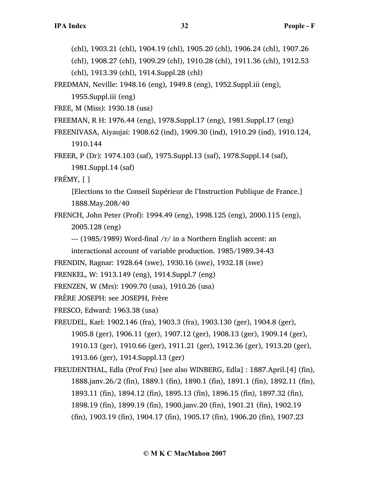(chl), 1903.21 (chl), 1904.19 (chl), 1905.20 (chl), 1906.24 (chl), 1907.26

(chl), 1908.27 (chl), 1909.29 (chl), 1910.28 (chl), 1911.36 (chl), 1912.53

(chl), 1913.39 (chl), 1914.Suppl.28 (chl)

FREDMAN, Neville: 1948.16 (eng), 1949.8 (eng), 1952.Suppl.iii (eng),

1955.Suppl.iii (eng)

FREE, M (Miss): 1930.18 (usa)

FREEMAN, R H: 1976.44 (eng), 1978.Suppl.17 (eng), 1981.Suppl.17 (eng)

FREENIVASA, Aiyaujai: 1908.62 (ind), 1909.30 (ind), 1910.29 (ind), 1910.124, 1910.144

FREER, P (Dr): 1974.103 (saf), 1975.Suppl.13 (saf), 1978.Suppl.14 (saf), 1981.Suppl.14 (saf)

FRÉMY, [ ]

[Elections to the Conseil Supérieur de l'Instruction Publique de France.] 1888.May.208/40

FRENCH, John Peter (Prof): 1994.49 (eng), 1998.125 (eng), 2000.115 (eng), 2005.128 (eng)

--- (1985/1989) Word-final /r/ in a Northern English accent: an

interactional account of variable production. 1985/1989.34-43

FRENDIN, Ragnar: 1928.64 (swe), 1930.16 (swe), 1932.18 (swe)

```
FRENKEL, W: 1913.149 (eng), 1914.Suppl.7 (eng)
```
FRENZEN, W (Mrs): 1909.70 (usa), 1910.26 (usa)

FRÈRE JOSEPH: see JOSEPH, Frère

FRESCO, Edward: 1963.38 (usa)

- FREUDEL, Karl: 1902.146 (fra), 1903.3 (fra), 1903.130 (ger), 1904.8 (ger), 1905.8 (ger), 1906.11 (ger), 1907.12 (ger), 1908.13 (ger), 1909.14 (ger), 1910.13 (ger), 1910.66 (ger), 1911.21 (ger), 1912.36 (ger), 1913.20 (ger), 1913.66 (ger), 1914.Suppl.13 (ger)
- FREUDENTHAL, Edla (Prof Fru) [see also WINBERG, Edla] : 1887.April.[4] (fin), 1888.janv.26/2 (fin), 1889.1 (fin), 1890.1 (fin), 1891.1 (fin), 1892.11 (fin), 1893.11 (fin), 1894.12 (fin), 1895.13 (fin), 1896.15 (fin), 1897.32 (fin), 1898.19 (fin), 1899.19 (fin), 1900.janv.20 (fin), 1901.21 (fin), 1902.19 (fin), 1903.19 (fin), 1904.17 (fin), 1905.17 (fin), 1906.20 (fin), 1907.23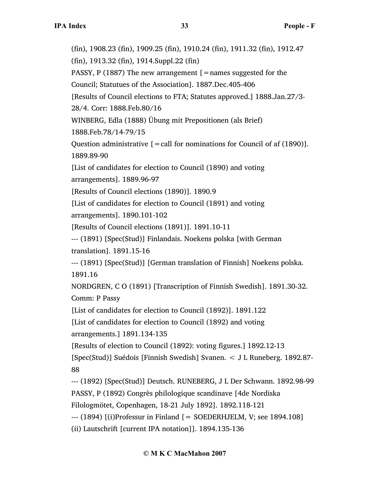(fin), 1908.23 (fin), 1909.25 (fin), 1910.24 (fin), 1911.32 (fin), 1912.47

(fin), 1913.32 (fin), 1914.Suppl.22 (fin)

PASSY, P (1887) The new arrangement  $[$  = names suggested for the

Council; Statutues of the Association]. 1887.Dec.405-406

[Results of Council elections to FTA; Statutes approved.] 1888.Jan.27/3-

28/4. Corr: 1888.Feb.80/16

WINBERG, Edla (1888) Übung mit Prepositionen (als Brief)

1888.Feb.78/14-79/15

Question administrative  $[$  = call for nominations for Council of af  $(1890)$ ]. 1889.89-90

[List of candidates for election to Council (1890) and voting arrangements]. 1889.96-97

[Results of Council elections (1890)]. 1890.9

[List of candidates for election to Council (1891) and voting

arrangements]. 1890.101-102

[Results of Council elections (1891)]. 1891.10-11

--- (1891) [Spec(Stud)] Finlandais. Noekens polska [with German

translation]. 1891.15-16

--- (1891) [Spec(Stud)] [German translation of Finnish] Noekens polska. 1891.16

NORDGREN, C O (1891) [Transcription of Finnish Swedish]. 1891.30-32. Comm: P Passy

[List of candidates for election to Council (1892)]. 1891.122

[List of candidates for election to Council (1892) and voting arrangements.] 1891.134-135

[Results of election to Council (1892): voting figures.] 1892.12-13

[Spec(Stud)] Suédois [Finnish Swedish] Svanen. < J L Runeberg. 1892.87- 88

--- (1892) [Spec(Stud)] Deutsch. RUNEBERG, J L Der Schwann. 1892.98-99 PASSY, P (1892) Congrès philologique scandinave [4de Nordiska

Filologmötet, Copenhagen, 18-21 July 1892]. 1892.118-121

 $-$ -- (1894)  $\lceil$ (i)Professur in Finland  $\lceil$  = SOEDERHJELM, V; see 1894.108]

(ii) Lautschrift [current IPA notation]]. 1894.135-136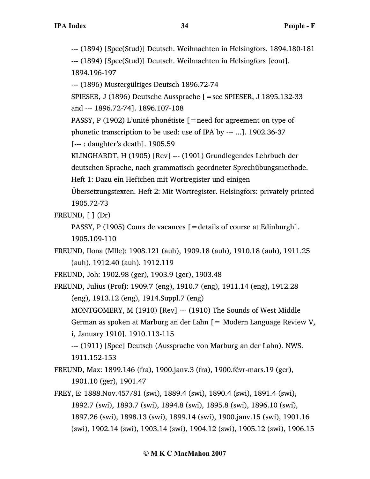--- (1894) [Spec(Stud)] Deutsch. Weihnachten in Helsingfors. 1894.180-181

--- (1894) [Spec(Stud)] Deutsch. Weihnachten in Helsingfors [cont]. 1894.196-197

--- (1896) Mustergültiges Deutsch 1896.72-74

SPIESER, J (1896) Deutsche Aussprache [=see SPIESER, J 1895.132-33 and --- 1896.72-74]. 1896.107-108

PASSY, P (1902) L'unité phonétiste  $\mathfrak{[}=$  need for agreement on type of

phonetic transcription to be used: use of IPA by --- ...]. 1902.36-37

[--- : daughter's death]. 1905.59

KLINGHARDT, H (1905) [Rev] --- (1901) Grundlegendes Lehrbuch der deutschen Sprache, nach grammatisch geordneter Sprechübungsmethode.

Heft 1: Dazu ein Heftchen mit Wortregister und einigen

Übersetzungstexten. Heft 2: Mit Wortregister. Helsingfors: privately printed 1905.72-73

FREUND,  $[ ] (Dr)$ 

PASSY, P (1905) Cours de vacances [=details of course at Edinburgh]. 1905.109-110

FREUND, Ilona (Mlle): 1908.121 (auh), 1909.18 (auh), 1910.18 (auh), 1911.25 (auh), 1912.40 (auh), 1912.119

FREUND, Joh: 1902.98 (ger), 1903.9 (ger), 1903.48

FREUND, Julius (Prof): 1909.7 (eng), 1910.7 (eng), 1911.14 (eng), 1912.28 (eng), 1913.12 (eng), 1914.Suppl.7 (eng)

MONTGOMERY, M (1910) [Rev] --- (1910) The Sounds of West Middle German as spoken at Marburg an der Lahn [= Modern Language Review V, i, January 1910]. 1910.113-115

--- (1911) [Spec] Deutsch (Aussprache von Marburg an der Lahn). NWS. 1911.152-153

FREUND, Max: 1899.146 (fra), 1900.janv.3 (fra), 1900.févr-mars.19 (ger), 1901.10 (ger), 1901.47

FREY, E: 1888.Nov.457/81 (swi), 1889.4 (swi), 1890.4 (swi), 1891.4 (swi), 1892.7 (swi), 1893.7 (swi), 1894.8 (swi), 1895.8 (swi), 1896.10 (swi), 1897.26 (swi), 1898.13 (swi), 1899.14 (swi), 1900.janv.15 (swi), 1901.16 (swi), 1902.14 (swi), 1903.14 (swi), 1904.12 (swi), 1905.12 (swi), 1906.15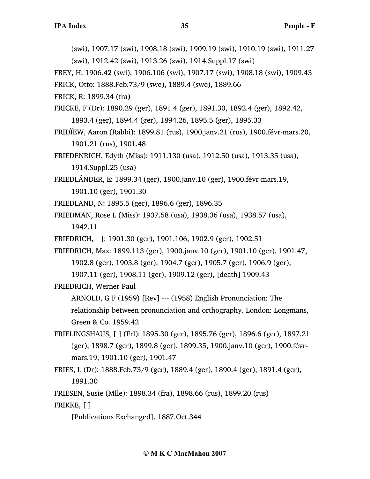(swi), 1907.17 (swi), 1908.18 (swi), 1909.19 (swi), 1910.19 (swi), 1911.27 (swi), 1912.42 (swi), 1913.26 (swi), 1914.Suppl.17 (swi)

FREY, H: 1906.42 (swi), 1906.106 (swi), 1907.17 (swi), 1908.18 (swi), 1909.43

FRICK, Otto: 1888.Feb.73/9 (swe), 1889.4 (swe), 1889.66

FRICK, R: 1899.34 (fra)

FRICKE, F (Dr): 1890.29 (ger), 1891.4 (ger), 1891.30, 1892.4 (ger), 1892.42, 1893.4 (ger), 1894.4 (ger), 1894.26, 1895.5 (ger), 1895.33

- FRIDÏEW, Aaron (Rabbi): 1899.81 (rus), 1900.janv.21 (rus), 1900.févr-mars.20, 1901.21 (rus), 1901.48
- FRIEDENRICH, Edyth (Miss): 1911.130 (usa), 1912.50 (usa), 1913.35 (usa), 1914.Suppl.25 (usa)

FRIEDLÄNDER, E: 1899.34 (ger), 1900.janv.10 (ger), 1900.févr-mars.19, 1901.10 (ger), 1901.30

- FRIEDLAND, N: 1895.5 (ger), 1896.6 (ger), 1896.35
- FRIEDMAN, Rose L (Miss): 1937.58 (usa), 1938.36 (usa), 1938.57 (usa), 1942.11
- FRIEDRICH, [ ]: 1901.30 (ger), 1901.106, 1902.9 (ger), 1902.51
- FRIEDRICH, Max: 1899.113 (ger), 1900.janv.10 (ger), 1901.10 (ger), 1901.47, 1902.8 (ger), 1903.8 (ger), 1904.7 (ger), 1905.7 (ger), 1906.9 (ger),

1907.11 (ger), 1908.11 (ger), 1909.12 (ger), [death] 1909.43

FRIEDRICH, Werner Paul

ARNOLD, G F (1959) [Rev] --- (1958) English Pronunciation: The

relationship between pronunciation and orthography. London: Longmans, Green & Co. 1959.42

- FRIELINGSHAUS, [ ] (Frl): 1895.30 (ger), 1895.76 (ger), 1896.6 (ger), 1897.21 (ger), 1898.7 (ger), 1899.8 (ger), 1899.35, 1900.janv.10 (ger), 1900.févrmars.19, 1901.10 (ger), 1901.47
- FRIES, L (Dr): 1888.Feb.73/9 (ger), 1889.4 (ger), 1890.4 (ger), 1891.4 (ger), 1891.30
- FRIESEN, Susie (Mlle): 1898.34 (fra), 1898.66 (rus), 1899.20 (rus)
- FRIKKE, [ ]

[Publications Exchanged]. 1887.Oct.344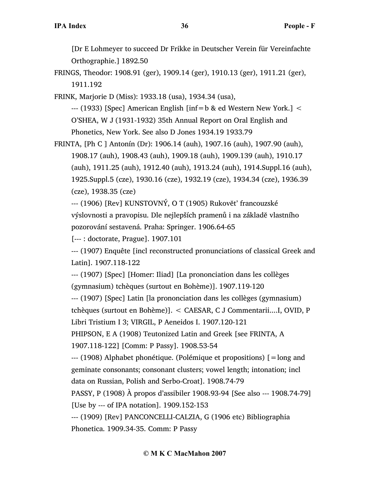[Dr E Lohmeyer to succeed Dr Frikke in Deutscher Verein für Vereinfachte Orthographie.] 1892.50

FRINGS, Theodor: 1908.91 (ger), 1909.14 (ger), 1910.13 (ger), 1911.21 (ger), 1911.192

FRINK, Marjorie D (Miss): 1933.18 (usa), 1934.34 (usa),

 $-$ -- (1933) [Spec] American English [inf=b & ed Western New York.]  $\leq$ O'SHEA, W J (1931-1932) 35th Annual Report on Oral English and Phonetics, New York. See also D Jones 1934.19 1933.79

FRINTA, [Ph C ] Antonín (Dr): 1906.14 (auh), 1907.16 (auh), 1907.90 (auh), 1908.17 (auh), 1908.43 (auh), 1909.18 (auh), 1909.139 (auh), 1910.17 (auh), 1911.25 (auh), 1912.40 (auh), 1913.24 (auh), 1914.Suppl.16 (auh), 1925.Suppl.5 (cze), 1930.16 (cze), 1932.19 (cze), 1934.34 (cze), 1936.39 (cze), 1938.35 (cze)

--- (1906) [Rev] KUNSTOVNÝ, O T (1905) Rukovĕt' francouzské

výslovnosti a pravopisu. Dle nejlepších pramenů i na základĕ vlastního pozorování sestavená. Praha: Springer. 1906.64-65

[--- : doctorate, Prague]. 1907.101

--- (1907) Enquête [incl reconstructed pronunciations of classical Greek and Latin]. 1907.118-122

--- (1907) [Spec] [Homer: Iliad] [La prononciation dans les collèges (gymnasium) tchèques (surtout en Bohème)]. 1907.119-120

--- (1907) [Spec] Latin [la prononciation dans les collèges (gymnasium)

tchèques (surtout en Bohème)]. < CAESAR, C J Commentarii....I, OVID, P

Libri Tristium I 3; VIRGIL, P Aeneidos I. 1907.120-121

PHIPSON, E A (1908) Teutonized Latin and Greek [see FRINTA, A

1907.118-122] [Comm: P Passy]. 1908.53-54

--- (1908) Alphabet phonétique. (Polémique et propositions) [=long and geminate consonants; consonant clusters; vowel length; intonation; incl data on Russian, Polish and Serbo-Croat]. 1908.74-79

PASSY, P (1908) À propos d'assibiler 1908.93-94 [See also --- 1908.74-79]

[Use by --- of IPA notation]. 1909.152-153

--- (1909) [Rev] PANCONCELLI-CALZIA, G (1906 etc) Bibliographia Phonetica. 1909.34-35. Comm: P Passy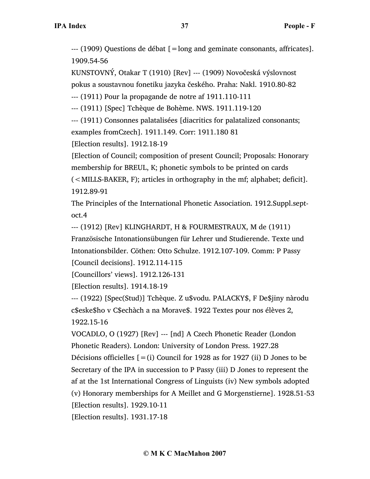--- (1909) Questions de débat [=long and geminate consonants, affricates]. 1909.54-56

KUNSTOVNÝ, Otakar T (1910) [Rev] --- (1909) Novočeská výslovnost pokus a soustavnou fonetiku jazyka českého. Praha: Nakl. 1910.80-82

--- (1911) Pour la propagande de notre af 1911.110-111

--- (1911) [Spec] Tchèque de Bohème. NWS. 1911.119-120

--- (1911) Consonnes palatalisées [diacritics for palatalized consonants; examples fromCzech]. 1911.149. Corr: 1911.180 81

[Election results]. 1912.18-19

[Election of Council; composition of present Council; Proposals: Honorary membership for BREUL, K; phonetic symbols to be printed on cards (<MILLS-BAKER, F); articles in orthography in the mf; alphabet; deficit]. 1912.89-91

The Principles of the International Phonetic Association. 1912.Suppl.septoct.4

--- (1912) [Rev] KLINGHARDT, H & FOURMESTRAUX, M de (1911)

Französische Intonationsübungen für Lehrer und Studierende. Texte und Intonationsbilder. Cöthen: Otto Schulze. 1912.107-109. Comm: P Passy

[Council decisions]. 1912.114-115

[Councillors' views]. 1912.126-131

[Election results]. 1914.18-19

--- (1922) [Spec(Stud)] Tchèque. Z u\$vodu. PALACKY\$, F De\$jiny nàrodu c\$eske\$ho v C\$echàch a na Morave\$. 1922 Textes pour nos élèves 2, 1922.15-16

VOCADLO, O (1927) [Rev] --- [nd] A Czech Phonetic Reader (London Phonetic Readers). London: University of London Press. 1927.28 Décisions officielles  $[=(i)$  Council for 1928 as for 1927 (ii) D Jones to be Secretary of the IPA in succession to P Passy (iii) D Jones to represent the af at the 1st International Congress of Linguists (iv) New symbols adopted (v) Honorary memberships for A Meillet and G Morgenstierne]. 1928.51-53 [Election results]. 1929.10-11 [Election results]. 1931.17-18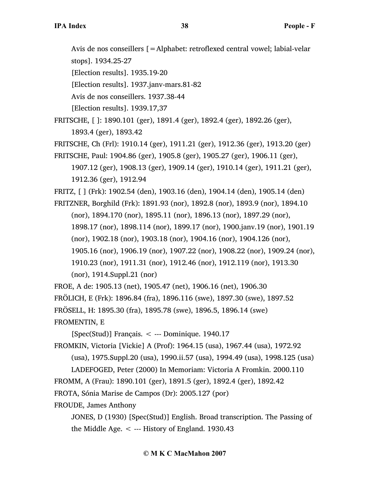Avis de nos conseillers [=Alphabet: retroflexed central vowel; labial-velar stops]. 1934.25-27

[Election results]. 1935.19-20

[Election results]. 1937.janv-mars.81-82

Avis de nos conseillers. 1937.38-44

[Election results]. 1939.17,37

FRITSCHE, [ ]: 1890.101 (ger), 1891.4 (ger), 1892.4 (ger), 1892.26 (ger),

1893.4 (ger), 1893.42

FRITSCHE, Ch (Frl): 1910.14 (ger), 1911.21 (ger), 1912.36 (ger), 1913.20 (ger)

FRITSCHE, Paul: 1904.86 (ger), 1905.8 (ger), 1905.27 (ger), 1906.11 (ger),

1907.12 (ger), 1908.13 (ger), 1909.14 (ger), 1910.14 (ger), 1911.21 (ger), 1912.36 (ger), 1912.94

FRITZ, [ ] (Frk): 1902.54 (den), 1903.16 (den), 1904.14 (den), 1905.14 (den)

FRITZNER, Borghild (Frk): 1891.93 (nor), 1892.8 (nor), 1893.9 (nor), 1894.10

(nor), 1894.170 (nor), 1895.11 (nor), 1896.13 (nor), 1897.29 (nor),

1898.17 (nor), 1898.114 (nor), 1899.17 (nor), 1900.janv.19 (nor), 1901.19

(nor), 1902.18 (nor), 1903.18 (nor), 1904.16 (nor), 1904.126 (nor),

1905.16 (nor), 1906.19 (nor), 1907.22 (nor), 1908.22 (nor), 1909.24 (nor),

1910.23 (nor), 1911.31 (nor), 1912.46 (nor), 1912.119 (nor), 1913.30 (nor), 1914.Suppl.21 (nor)

FROE, A de: 1905.13 (net), 1905.47 (net), 1906.16 (net), 1906.30 FRÖLICH, E (Frk): 1896.84 (fra), 1896.116 (swe), 1897.30 (swe), 1897.52

FRÖSELL, H: 1895.30 (fra), 1895.78 (swe), 1896.5, 1896.14 (swe)

FROMENTIN, E

 $[Spec(Stud)]$  Français. < --- Dominique. 1940.17

FROMKIN, Victoria [Vickie] A (Prof): 1964.15 (usa), 1967.44 (usa), 1972.92

(usa), 1975.Suppl.20 (usa), 1990.ii.57 (usa), 1994.49 (usa), 1998.125 (usa)

LADEFOGED, Peter (2000) In Memoriam: Victoria A Fromkin. 2000.110 FROMM, A (Frau): 1890.101 (ger), 1891.5 (ger), 1892.4 (ger), 1892.42 FROTA, Sónia Marise de Campos (Dr): 2005.127 (por)

FROUDE, James Anthony

JONES, D (1930) [Spec(Stud)] English. Broad transcription. The Passing of the Middle Age.  $\lt$  --- History of England. 1930.43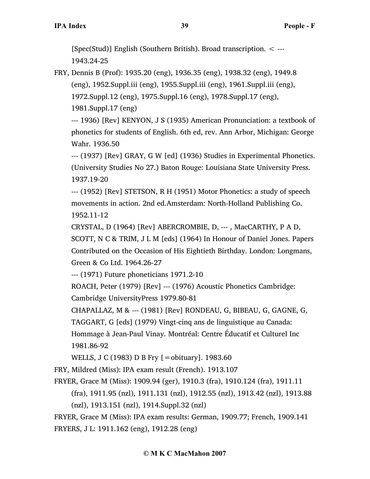[Spec(Stud)] English (Southern British). Broad transcription. < --- 1943.24-25

FRY, Dennis B (Prof): 1935.20 (eng), 1936.35 (eng), 1938.32 (eng), 1949.8 (eng), 1952.Suppl.iii (eng), 1955.Suppl.iii (eng), 1961.Suppl.iii (eng), 1972.Suppl.12 (eng), 1975.Suppl.16 (eng), 1978.Suppl.17 (eng), 1981.Suppl.17 (eng)

--- 1936) [Rev] KENYON, J S (1935) American Pronunciation: a textbook of phonetics for students of English. 6th ed, rev. Ann Arbor, Michigan: George Wahr. 1936.50

--- (1937) [Rev] GRAY, G W [ed] (1936) Studies in Experimental Phonetics. (University Studies No 27.) Baton Rouge: Louisiana State University Press. 1937.19-20

--- (1952) [Rev] STETSON, R H (1951) Motor Phonetics: a study of speech movements in action. 2nd ed.Amsterdam: North-Holland Publishing Co. 1952.11-12

CRYSTAL, D (1964) [Rev] ABERCROMBIE, D, --- , MacCARTHY, P A D,

SCOTT, N C & TRIM, J L M [eds] (1964) In Honour of Daniel Jones. Papers Contributed on the Occasion of His Eightieth Birthday. London: Longmans, Green & Co Ltd. 1964.26-27

--- (1971) Future phoneticians 1971.2-10

ROACH, Peter (1979) [Rev] --- (1976) Acoustic Phonetics Cambridge: Cambridge UniversityPress 1979.80-81

CHAPALLAZ, M & --- (1981) [Rev] RONDEAU, G, BIBEAU, G, GAGNE, G,

TAGGART, G [eds] (1979) Vingt-cinq ans de linguistique au Canada:

Hommage à Jean-Paul Vinay. Montréal: Centre Éducatif et Culturel Inc 1981.86-92

WELLS, J C (1983) D B Fry [=obituary]. 1983.60

FRY, Mildred (Miss): IPA exam result (French). 1913.107

FRYER, Grace M (Miss): 1909.94 (ger), 1910.3 (fra), 1910.124 (fra), 1911.11

(fra), 1911.95 (nzl), 1911.131 (nzl), 1912.55 (nzl), 1913.42 (nzl), 1913.88

(nzl), 1913.151 (nzl), 1914.Suppl.32 (nzl)

FRYER, Grace M (Miss): IPA exam results: German, 1909.77; French, 1909.141 FRYERS, J L: 1911.162 (eng), 1912.28 (eng)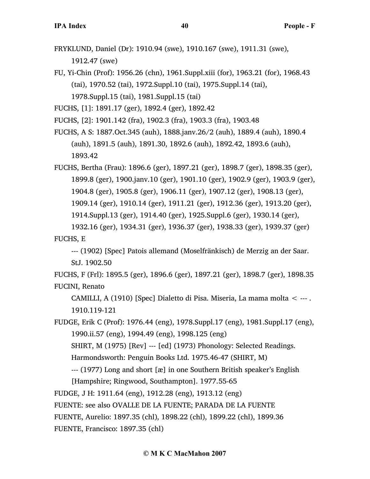- FRYKLUND, Daniel (Dr): 1910.94 (swe), 1910.167 (swe), 1911.31 (swe), 1912.47 (swe)
- FU, Yi-Chin (Prof): 1956.26 (chn), 1961.Suppl.xiii (for), 1963.21 (for), 1968.43 (tai), 1970.52 (tai), 1972.Suppl.10 (tai), 1975.Suppl.14 (tai), 1978.Suppl.15 (tai), 1981.Suppl.15 (tai)
- FUCHS, [1]: 1891.17 (ger), 1892.4 (ger), 1892.42
- FUCHS, [2]: 1901.142 (fra), 1902.3 (fra), 1903.3 (fra), 1903.48
- FUCHS, A S: 1887.Oct.345 (auh), 1888.janv.26/2 (auh), 1889.4 (auh), 1890.4 (auh), 1891.5 (auh), 1891.30, 1892.6 (auh), 1892.42, 1893.6 (auh), 1893.42

FUCHS, Bertha (Frau): 1896.6 (ger), 1897.21 (ger), 1898.7 (ger), 1898.35 (ger), 1899.8 (ger), 1900.janv.10 (ger), 1901.10 (ger), 1902.9 (ger), 1903.9 (ger), 1904.8 (ger), 1905.8 (ger), 1906.11 (ger), 1907.12 (ger), 1908.13 (ger), 1909.14 (ger), 1910.14 (ger), 1911.21 (ger), 1912.36 (ger), 1913.20 (ger), 1914.Suppl.13 (ger), 1914.40 (ger), 1925.Suppl.6 (ger), 1930.14 (ger), 1932.16 (ger), 1934.31 (ger), 1936.37 (ger), 1938.33 (ger), 1939.37 (ger)

FUCHS, E

--- (1902) [Spec] Patois allemand (Moselfränkisch) de Merzig an der Saar. StJ. 1902.50

FUCHS, F (Frl): 1895.5 (ger), 1896.6 (ger), 1897.21 (ger), 1898.7 (ger), 1898.35 FUCINI, Renato

CAMILLI, A (1910) [Spec] Dialetto di Pisa. Miseria, La mama molta < --- . 1910.119-121

FUDGE, Erik C (Prof): 1976.44 (eng), 1978.Suppl.17 (eng), 1981.Suppl.17 (eng), 1990.ii.57 (eng), 1994.49 (eng), 1998.125 (eng)

SHIRT, M (1975) [Rev] --- [ed] (1973) Phonology: Selected Readings.

Harmondsworth: Penguin Books Ltd. 1975.46-47 (SHIRT, M)

--- (1977) Long and short [æ] in one Southern British speaker's English

[Hampshire; Ringwood, Southampton]. 1977.55-65

FUDGE, J H: 1911.64 (eng), 1912.28 (eng), 1913.12 (eng)

FUENTE: see also OVALLE DE LA FUENTE; PARADA DE LA FUENTE

FUENTE, Aurelio: 1897.35 (chl), 1898.22 (chl), 1899.22 (chl), 1899.36

FUENTE, Francisco: 1897.35 (chl)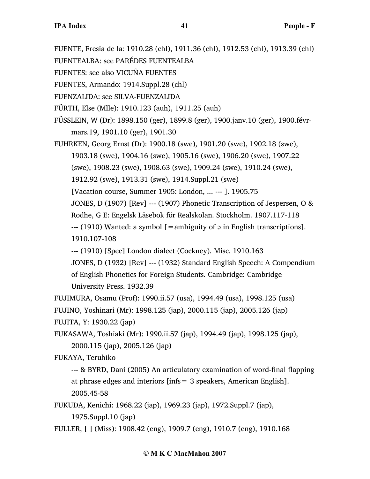FUENTE, Fresia de la: 1910.28 (chl), 1911.36 (chl), 1912.53 (chl), 1913.39 (chl)

FUENTEALBA: see PARÉDES FUENTEALBA

FUENTES: see also VICUÑA FUENTES

FUENTES, Armando: 1914.Suppl.28 (chl)

FUENZALIDA: see SILVA-FUENZALIDA

FÜRTH, Else (Mlle): 1910.123 (auh), 1911.25 (auh)

FÜSSLEIN, W (Dr): 1898.150 (ger), 1899.8 (ger), 1900.janv.10 (ger), 1900.févrmars.19, 1901.10 (ger), 1901.30

FUHRKEN, Georg Ernst (Dr): 1900.18 (swe), 1901.20 (swe), 1902.18 (swe), 1903.18 (swe), 1904.16 (swe), 1905.16 (swe), 1906.20 (swe), 1907.22 (swe), 1908.23 (swe), 1908.63 (swe), 1909.24 (swe), 1910.24 (swe), 1912.92 (swe), 1913.31 (swe), 1914.Suppl.21 (swe) [Vacation course, Summer 1905: London, ... --- ]. 1905.75 JONES, D (1907) [Rev] --- (1907) Phonetic Transcription of Jespersen, O &

Rodhe, G E: Engelsk Läsebok för Realskolan. Stockholm. 1907.117-118

--- (1910) Wanted: a symbol [=ambiguity of ɔ in English transcriptions].

1910.107-108

--- (1910) [Spec] London dialect (Cockney). Misc. 1910.163

JONES, D (1932) [Rev] --- (1932) Standard English Speech: A Compendium of English Phonetics for Foreign Students. Cambridge: Cambridge University Press. 1932.39

FUJIMURA, Osamu (Prof): 1990.ii.57 (usa), 1994.49 (usa), 1998.125 (usa)

FUJINO, Yoshinari (Mr): 1998.125 (jap), 2000.115 (jap), 2005.126 (jap)

FUJITA, Y: 1930.22 (jap)

FUKASAWA, Toshiaki (Mr): 1990.ii.57 (jap), 1994.49 (jap), 1998.125 (jap), 2000.115 (jap), 2005.126 (jap)

FUKAYA, Teruhiko

--- & BYRD, Dani (2005) An articulatory examination of word-final flapping at phrase edges and interiors [infs= 3 speakers, American English]. 2005.45-58

FUKUDA, Kenichi: 1968.22 (jap), 1969.23 (jap), 1972.Suppl.7 (jap), 1975.Suppl.10 (jap)

FULLER, [ ] (Miss): 1908.42 (eng), 1909.7 (eng), 1910.7 (eng), 1910.168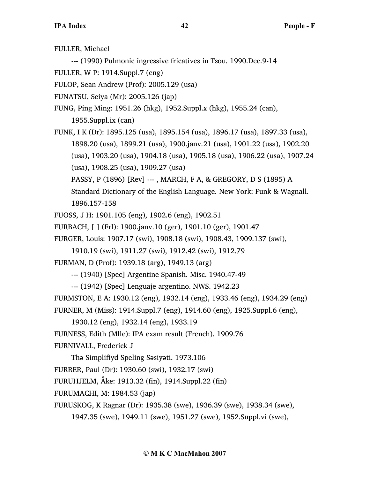FULLER, Michael

--- (1990) Pulmonic ingressive fricatives in Tsou. 1990.Dec.9-14

FULLER, W P: 1914.Suppl.7 (eng)

FULOP, Sean Andrew (Prof): 2005.129 (usa)

FUNATSU, Seiya (Mr): 2005.126 (jap)

FUNG, Ping Ming: 1951.26 (hkg), 1952.Suppl.x (hkg), 1955.24 (can), 1955.Suppl.ix (can)

FUNK, I K (Dr): 1895.125 (usa), 1895.154 (usa), 1896.17 (usa), 1897.33 (usa), 1898.20 (usa), 1899.21 (usa), 1900.janv.21 (usa), 1901.22 (usa), 1902.20 (usa), 1903.20 (usa), 1904.18 (usa), 1905.18 (usa), 1906.22 (usa), 1907.24 (usa), 1908.25 (usa), 1909.27 (usa) PASSY, P (1896) [Rev] --- , MARCH, F A, & GREGORY, D S (1895) A

Standard Dictionary of the English Language. New York: Funk & Wagnall. 1896.157-158

FUOSS, J H: 1901.105 (eng), 1902.6 (eng), 1902.51

FURBACH, [ ] (Frl): 1900.janv.10 (ger), 1901.10 (ger), 1901.47

FURGER, Louis: 1907.17 (swi), 1908.18 (swi), 1908.43, 1909.137 (swi),

1910.19 (swi), 1911.27 (swi), 1912.42 (swi), 1912.79

FURMAN, D (Prof): 1939.18 (arg), 1949.13 (arg)

--- (1940) [Spec] Argentine Spanish. Misc. 1940.47-49

--- (1942) [Spec] Lenguaje argentino. NWS. 1942.23

FURMSTON, E A: 1930.12 (eng), 1932.14 (eng), 1933.46 (eng), 1934.29 (eng) FURNER, M (Miss): 1914.Suppl.7 (eng), 1914.60 (eng), 1925.Suppl.6 (eng),

```
1930.12 (eng), 1932.14 (eng), 1933.19
```
FURNESS, Edith (Mlle): IPA exam result (French). 1909.76

FURNIVALL, Frederick J

Thə Simplifiyd Speling Səsiyəti. 1973.106

FURRER, Paul (Dr): 1930.60 (swi), 1932.17 (swi)

FURUHJELM, Åke: 1913.32 (fin), 1914.Suppl.22 (fin)

FURUMACHI, M: 1984.53 (jap)

FURUSKOG, K Ragnar (Dr): 1935.38 (swe), 1936.39 (swe), 1938.34 (swe),

1947.35 (swe), 1949.11 (swe), 1951.27 (swe), 1952.Suppl.vi (swe),